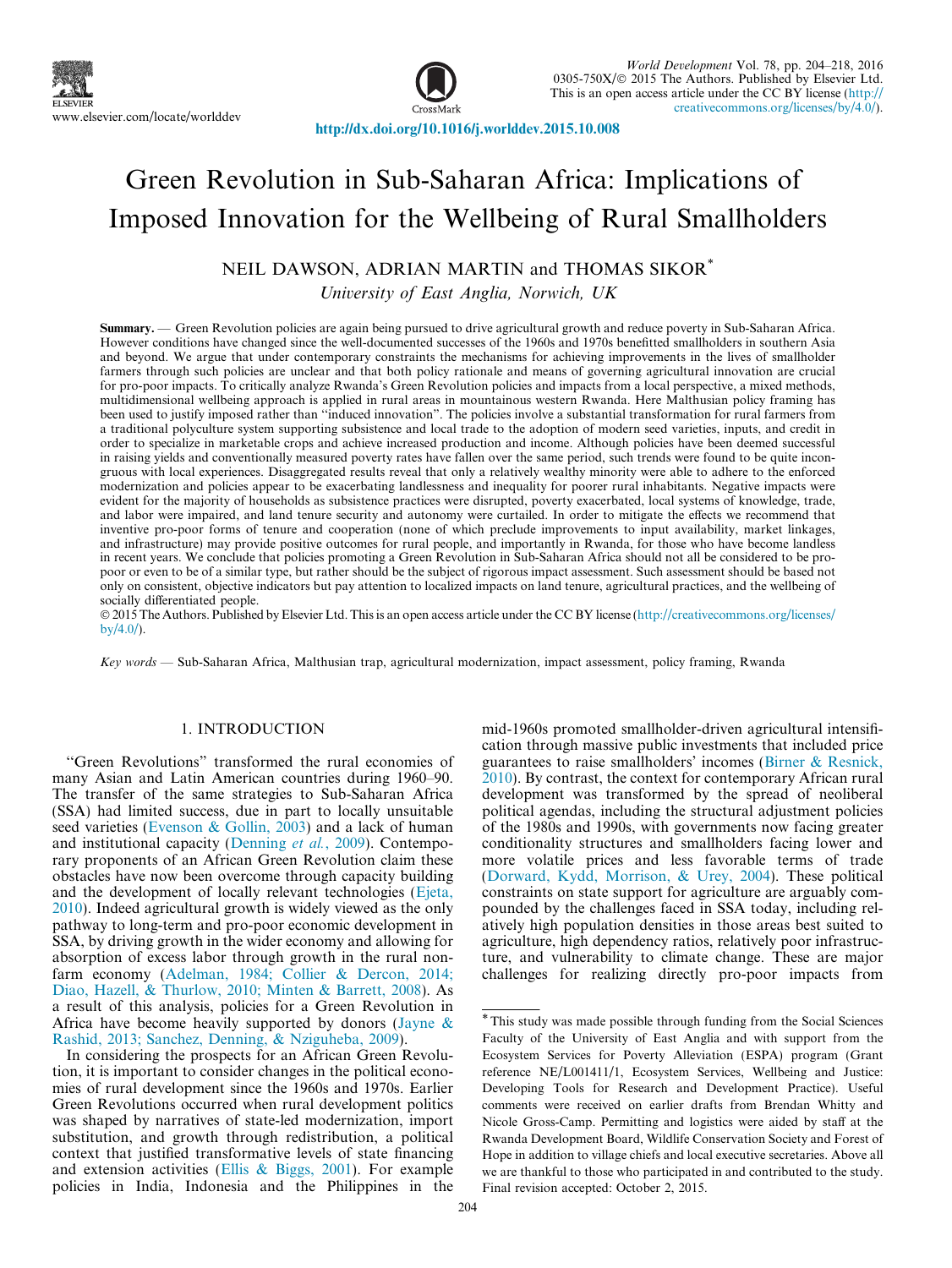<http://dx.doi.org/10.1016/j.worlddev.2015.10.008>

# Green Revolution in Sub-Saharan Africa: Implications of Imposed Innovation for the Wellbeing of Rural Smallholders

# NEIL DAWSON, ADRIAN MARTIN and THOMAS SIKOR\*

University of East Anglia, Norwich, UK

Summary. — Green Revolution policies are again being pursued to drive agricultural growth and reduce poverty in Sub-Saharan Africa. However conditions have changed since the well-documented successes of the 1960s and 1970s benefitted smallholders in southern Asia and beyond. We argue that under contemporary constraints the mechanisms for achieving improvements in the lives of smallholder farmers through such policies are unclear and that both policy rationale and means of governing agricultural innovation are crucial for pro-poor impacts. To critically analyze Rwanda's Green Revolution policies and impacts from a local perspective, a mixed methods, multidimensional wellbeing approach is applied in rural areas in mountainous western Rwanda. Here Malthusian policy framing has been used to justify imposed rather than ''induced innovation". The policies involve a substantial transformation for rural farmers from a traditional polyculture system supporting subsistence and local trade to the adoption of modern seed varieties, inputs, and credit in order to specialize in marketable crops and achieve increased production and income. Although policies have been deemed successful in raising yields and conventionally measured poverty rates have fallen over the same period, such trends were found to be quite incongruous with local experiences. Disaggregated results reveal that only a relatively wealthy minority were able to adhere to the enforced modernization and policies appear to be exacerbating landlessness and inequality for poorer rural inhabitants. Negative impacts were evident for the majority of households as subsistence practices were disrupted, poverty exacerbated, local systems of knowledge, trade, and labor were impaired, and land tenure security and autonomy were curtailed. In order to mitigate the effects we recommend that inventive pro-poor forms of tenure and cooperation (none of which preclude improvements to input availability, market linkages, and infrastructure) may provide positive outcomes for rural people, and importantly in Rwanda, for those who have become landless in recent years. We conclude that policies promoting a Green Revolution in Sub-Saharan Africa should not all be considered to be propoor or even to be of a similar type, but rather should be the subject of rigorous impact assessment. Such assessment should be based not only on consistent, objective indicators but pay attention to localized impacts on land tenure, agricultural practices, and the wellbeing of socially differentiated people.

 2015 The Authors. Published by Elsevier Ltd. This is an open access article under the CC BY license ([http://creativecommons.org/licenses/](http://creativecommons.org/licenses/by/4.0/)  $bv/4.0/$ .

Key words — Sub-Saharan Africa, Malthusian trap, agricultural modernization, impact assessment, policy framing, Rwanda

# 1. INTRODUCTION

''Green Revolutions" transformed the rural economies of many Asian and Latin American countries during 1960–90. The transfer of the same strategies to Sub-Saharan Africa (SSA) had limited success, due in part to locally unsuitable seed varieties (Evenson & Gollin,  $2003$ ) and a lack of human and institutional capacity [\(Denning](#page-12-0) et al., 2009). Contemporary proponents of an African Green Revolution claim these obstacles have now been overcome through capacity building and the development of locally relevant technologies [\(Ejeta,](#page-12-0) [2010\)](#page-12-0). Indeed agricultural growth is widely viewed as the only pathway to long-term and pro-poor economic development in SSA, by driving growth in the wider economy and allowing for absorption of excess labor through growth in the rural nonfarm economy ([Adelman, 1984; Collier & Dercon, 2014;](#page-12-0) [Diao, Hazell, & Thurlow, 2010; Minten & Barrett, 2008\)](#page-12-0). As a result of this analysis, policies for a Green Revolution in Africa have become heavily supported by donors [\(Jayne &](#page-13-0) [Rashid, 2013; Sanchez, Denning, & Nziguheba, 2009\)](#page-13-0).

In considering the prospects for an African Green Revolution, it is important to consider changes in the political economies of rural development since the 1960s and 1970s. Earlier Green Revolutions occurred when rural development politics was shaped by narratives of state-led modernization, import substitution, and growth through redistribution, a political context that justified transformative levels of state financing and extension activities [\(Ellis & Biggs, 2001](#page-12-0)). For example policies in India, Indonesia and the Philippines in the

mid-1960s promoted smallholder-driven agricultural intensification through massive public investments that included price guarantees to raise smallholders' incomes [\(Birner & Resnick,](#page-12-0) [2010\)](#page-12-0). By contrast, the context for contemporary African rural development was transformed by the spread of neoliberal political agendas, including the structural adjustment policies of the 1980s and 1990s, with governments now facing greater conditionality structures and smallholders facing lower and more volatile prices and less favorable terms of trade ([Dorward, Kydd, Morrison, & Urey, 2004](#page-12-0)). These political constraints on state support for agriculture are arguably compounded by the challenges faced in SSA today, including relatively high population densities in those areas best suited to agriculture, high dependency ratios, relatively poor infrastructure, and vulnerability to climate change. These are major challenges for realizing directly pro-poor impacts from

<sup>\*</sup>This study was made possible through funding from the Social Sciences Faculty of the University of East Anglia and with support from the Ecosystem Services for Poverty Alleviation (ESPA) program (Grant reference NE/L001411/1, Ecosystem Services, Wellbeing and Justice: Developing Tools for Research and Development Practice). Useful comments were received on earlier drafts from Brendan Whitty and Nicole Gross-Camp. Permitting and logistics were aided by staff at the Rwanda Development Board, Wildlife Conservation Society and Forest of Hope in addition to village chiefs and local executive secretaries. Above all we are thankful to those who participated in and contributed to the study. Final revision accepted: October 2, 2015.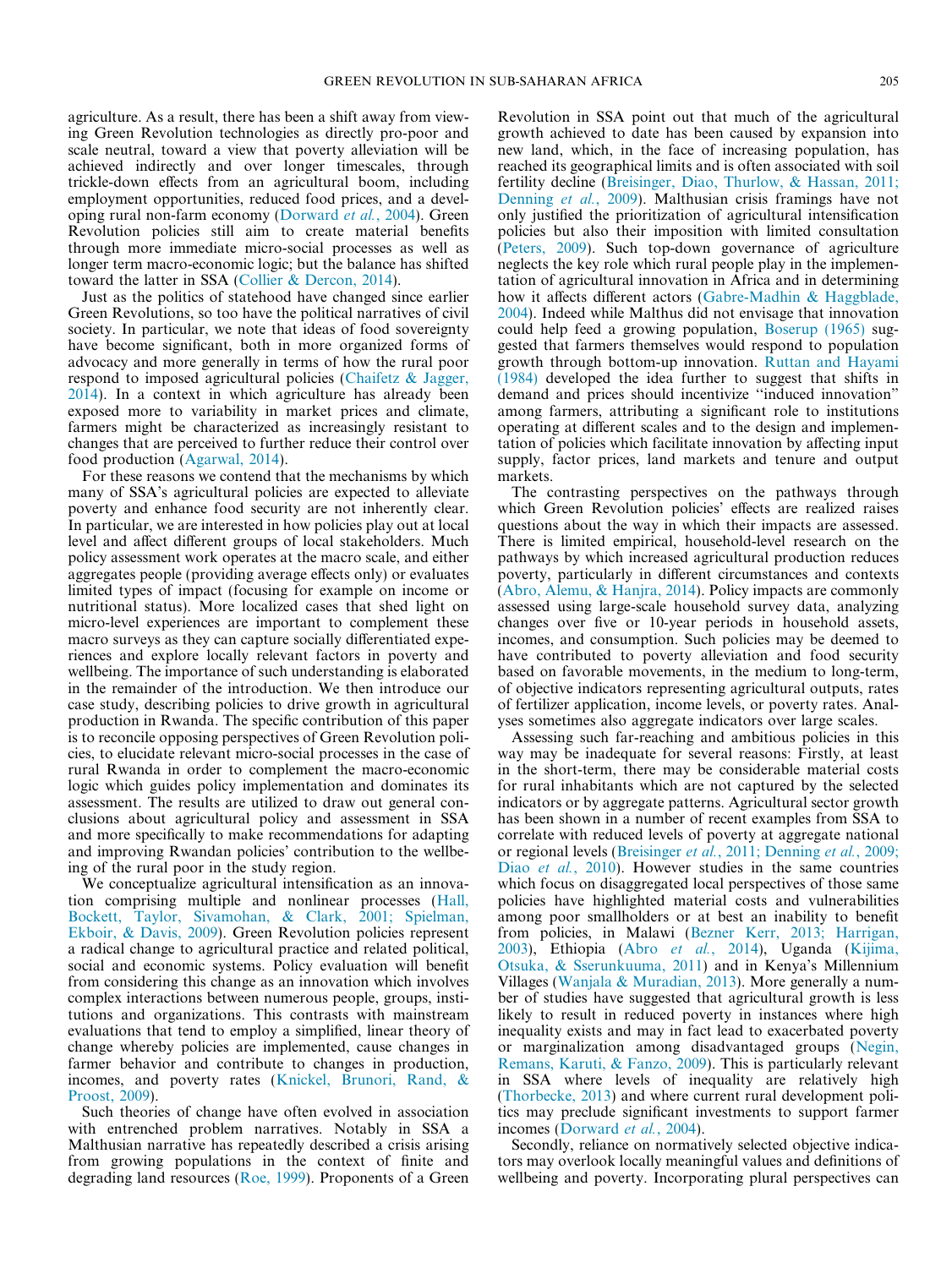agriculture. As a result, there has been a shift away from viewing Green Revolution technologies as directly pro-poor and scale neutral, toward a view that poverty alleviation will be achieved indirectly and over longer timescales, through trickle-down effects from an agricultural boom, including employment opportunities, reduced food prices, and a developing rural non-farm economy [\(Dorward](#page-12-0) et al., 2004). Green Revolution policies still aim to create material benefits through more immediate micro-social processes as well as longer term macro-economic logic; but the balance has shifted toward the latter in SSA ([Collier & Dercon, 2014\)](#page-12-0).

Just as the politics of statehood have changed since earlier Green Revolutions, so too have the political narratives of civil society. In particular, we note that ideas of food sovereignty have become significant, both in more organized forms of advocacy and more generally in terms of how the rural poor respond to imposed agricultural policies [\(Chaifetz & Jagger,](#page-12-0) [2014](#page-12-0)). In a context in which agriculture has already been exposed more to variability in market prices and climate, farmers might be characterized as increasingly resistant to changes that are perceived to further reduce their control over food production ([Agarwal, 2014\)](#page-12-0).

For these reasons we contend that the mechanisms by which many of SSA's agricultural policies are expected to alleviate poverty and enhance food security are not inherently clear. In particular, we are interested in how policies play out at local level and affect different groups of local stakeholders. Much policy assessment work operates at the macro scale, and either aggregates people (providing average effects only) or evaluates limited types of impact (focusing for example on income or nutritional status). More localized cases that shed light on micro-level experiences are important to complement these macro surveys as they can capture socially differentiated experiences and explore locally relevant factors in poverty and wellbeing. The importance of such understanding is elaborated in the remainder of the introduction. We then introduce our case study, describing policies to drive growth in agricultural production in Rwanda. The specific contribution of this paper is to reconcile opposing perspectives of Green Revolution policies, to elucidate relevant micro-social processes in the case of rural Rwanda in order to complement the macro-economic logic which guides policy implementation and dominates its assessment. The results are utilized to draw out general conclusions about agricultural policy and assessment in SSA and more specifically to make recommendations for adapting and improving Rwandan policies' contribution to the wellbeing of the rural poor in the study region.

We conceptualize agricultural intensification as an innovation comprising multiple and nonlinear processes [\(Hall,](#page-13-0) [Bockett, Taylor, Sivamohan, & Clark, 2001; Spielman,](#page-13-0) [Ekboir, & Davis, 2009](#page-13-0)). Green Revolution policies represent a radical change to agricultural practice and related political, social and economic systems. Policy evaluation will benefit from considering this change as an innovation which involves complex interactions between numerous people, groups, institutions and organizations. This contrasts with mainstream evaluations that tend to employ a simplified, linear theory of change whereby policies are implemented, cause changes in farmer behavior and contribute to changes in production, incomes, and poverty rates ([Knickel, Brunori, Rand, &](#page-13-0) [Proost, 2009\)](#page-13-0).

Such theories of change have often evolved in association with entrenched problem narratives. Notably in SSA a Malthusian narrative has repeatedly described a crisis arising from growing populations in the context of finite and degrading land resources [\(Roe, 1999](#page-13-0)). Proponents of a Green Revolution in SSA point out that much of the agricultural growth achieved to date has been caused by expansion into new land, which, in the face of increasing population, has reached its geographical limits and is often associated with soil fertility decline ([Breisinger, Diao, Thurlow, & Hassan, 2011;](#page-12-0) [Denning](#page-12-0) et al., 2009). Malthusian crisis framings have not only justified the prioritization of agricultural intensification policies but also their imposition with limited consultation ([Peters, 2009](#page-13-0)). Such top-down governance of agriculture neglects the key role which rural people play in the implementation of agricultural innovation in Africa and in determining how it affects different actors [\(Gabre-Madhin & Haggblade,](#page-12-0) [2004](#page-12-0)). Indeed while Malthus did not envisage that innovation could help feed a growing population, [Boserup \(1965\)](#page-12-0) suggested that farmers themselves would respond to population growth through bottom-up innovation. [Ruttan and Hayami](#page-13-0) [\(1984\)](#page-13-0) developed the idea further to suggest that shifts in demand and prices should incentivize ''induced innovation" among farmers, attributing a significant role to institutions operating at different scales and to the design and implementation of policies which facilitate innovation by affecting input supply, factor prices, land markets and tenure and output markets.

The contrasting perspectives on the pathways through which Green Revolution policies' effects are realized raises questions about the way in which their impacts are assessed. There is limited empirical, household-level research on the pathways by which increased agricultural production reduces poverty, particularly in different circumstances and contexts ([Abro, Alemu, & Hanjra, 2014\)](#page-12-0). Policy impacts are commonly assessed using large-scale household survey data, analyzing changes over five or 10-year periods in household assets, incomes, and consumption. Such policies may be deemed to have contributed to poverty alleviation and food security based on favorable movements, in the medium to long-term, of objective indicators representing agricultural outputs, rates of fertilizer application, income levels, or poverty rates. Analyses sometimes also aggregate indicators over large scales.

Assessing such far-reaching and ambitious policies in this way may be inadequate for several reasons: Firstly, at least in the short-term, there may be considerable material costs for rural inhabitants which are not captured by the selected indicators or by aggregate patterns. Agricultural sector growth has been shown in a number of recent examples from SSA to correlate with reduced levels of poverty at aggregate national or regional levels (Breisinger et al.[, 2011; Denning](#page-12-0) et al., 2009; Diao et al.[, 2010](#page-12-0)). However studies in the same countries which focus on disaggregated local perspectives of those same policies have highlighted material costs and vulnerabilities among poor smallholders or at best an inability to benefit from policies, in Malawi [\(Bezner Kerr, 2013; Harrigan,](#page-12-0) [2003](#page-12-0)), Ethiopia (Abro et al.[, 2014\)](#page-12-0), Uganda [\(Kijima,](#page-13-0) [Otsuka, & Sserunkuuma, 2011\)](#page-13-0) and in Kenya's Millennium Villages [\(Wanjala & Muradian, 2013\)](#page-14-0). More generally a number of studies have suggested that agricultural growth is less likely to result in reduced poverty in instances where high inequality exists and may in fact lead to exacerbated poverty or marginalization among disadvantaged groups ([Negin,](#page-13-0) [Remans, Karuti, & Fanzo, 2009](#page-13-0)). This is particularly relevant in SSA where levels of inequality are relatively high ([Thorbecke, 2013\)](#page-14-0) and where current rural development politics may preclude significant investments to support farmer incomes ([Dorward](#page-12-0) et al., 2004).

Secondly, reliance on normatively selected objective indicators may overlook locally meaningful values and definitions of wellbeing and poverty. Incorporating plural perspectives can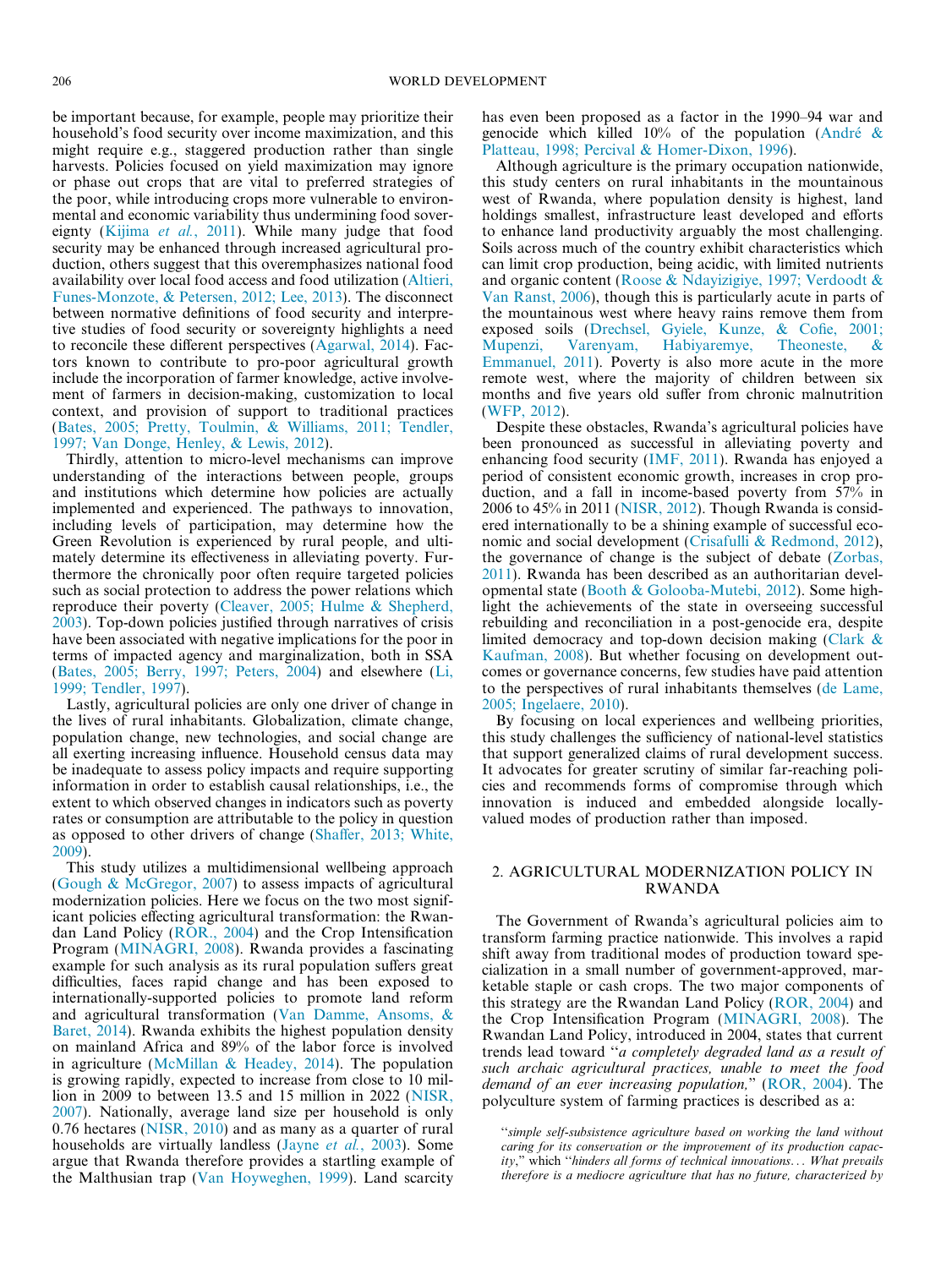be important because, for example, people may prioritize their household's food security over income maximization, and this might require e.g., staggered production rather than single harvests. Policies focused on yield maximization may ignore or phase out crops that are vital to preferred strategies of the poor, while introducing crops more vulnerable to environmental and economic variability thus undermining food sovereignty ([Kijima](#page-13-0) et al., 2011). While many judge that food security may be enhanced through increased agricultural production, others suggest that this overemphasizes national food availability over local food access and food utilization [\(Altieri,](#page-12-0) [Funes-Monzote, & Petersen, 2012; Lee, 2013](#page-12-0)). The disconnect between normative definitions of food security and interpretive studies of food security or sovereignty highlights a need to reconcile these different perspectives ([Agarwal, 2014\)](#page-12-0). Factors known to contribute to pro-poor agricultural growth include the incorporation of farmer knowledge, active involvement of farmers in decision-making, customization to local context, and provision of support to traditional practices ([Bates, 2005; Pretty, Toulmin, & Williams, 2011; Tendler,](#page-12-0) [1997; Van Donge, Henley, & Lewis, 2012\)](#page-12-0).

Thirdly, attention to micro-level mechanisms can improve understanding of the interactions between people, groups and institutions which determine how policies are actually implemented and experienced. The pathways to innovation, including levels of participation, may determine how the Green Revolution is experienced by rural people, and ultimately determine its effectiveness in alleviating poverty. Furthermore the chronically poor often require targeted policies such as social protection to address the power relations which reproduce their poverty ([Cleaver, 2005; Hulme & Shepherd,](#page-12-0) [2003\)](#page-12-0). Top-down policies justified through narratives of crisis have been associated with negative implications for the poor in terms of impacted agency and marginalization, both in SSA ([Bates, 2005; Berry, 1997; Peters, 2004](#page-12-0)) and elsewhere [\(Li,](#page-13-0) [1999; Tendler, 1997](#page-13-0)).

Lastly, agricultural policies are only one driver of change in the lives of rural inhabitants. Globalization, climate change, population change, new technologies, and social change are all exerting increasing influence. Household census data may be inadequate to assess policy impacts and require supporting information in order to establish causal relationships, i.e., the extent to which observed changes in indicators such as poverty rates or consumption are attributable to the policy in question as opposed to other drivers of change [\(Shaffer, 2013; White,](#page-13-0) [2009\)](#page-13-0).

This study utilizes a multidimensional wellbeing approach ([Gough & McGregor, 2007\)](#page-12-0) to assess impacts of agricultural modernization policies. Here we focus on the two most significant policies effecting agricultural transformation: the Rwandan Land Policy ([ROR., 2004\)](#page-13-0) and the Crop Intensification Program ([MINAGRI, 2008\)](#page-13-0). Rwanda provides a fascinating example for such analysis as its rural population suffers great difficulties, faces rapid change and has been exposed to internationally-supported policies to promote land reform and agricultural transformation [\(Van Damme, Ansoms, &](#page-14-0) [Baret, 2014](#page-14-0)). Rwanda exhibits the highest population density on mainland Africa and 89% of the labor force is involved in agriculture [\(McMillan & Headey, 2014](#page-13-0)). The population is growing rapidly, expected to increase from close to 10 million in 2009 to between 13.5 and 15 million in 2022 [\(NISR,](#page-13-0) [2007\)](#page-13-0). Nationally, average land size per household is only 0.76 hectares [\(NISR, 2010\)](#page-13-0) and as many as a quarter of rural households are virtually landless (Jayne et al.[, 2003](#page-13-0)). Some argue that Rwanda therefore provides a startling example of the Malthusian trap ([Van Hoyweghen, 1999\)](#page-14-0). Land scarcity has even been proposed as a factor in the 1990–94 war and genocide which killed  $10\%$  of the population (André & [Platteau, 1998; Percival & Homer-Dixon, 1996](#page-12-0)).

Although agriculture is the primary occupation nationwide, this study centers on rural inhabitants in the mountainous west of Rwanda, where population density is highest, land holdings smallest, infrastructure least developed and efforts to enhance land productivity arguably the most challenging. Soils across much of the country exhibit characteristics which can limit crop production, being acidic, with limited nutrients and organic content ([Roose & Ndayizigiye, 1997; Verdoodt &](#page-13-0) [Van Ranst, 2006\)](#page-13-0), though this is particularly acute in parts of the mountainous west where heavy rains remove them from exposed soils [\(Drechsel, Gyiele, Kunze, & Cofie, 2001;](#page-12-0) [Mupenzi, Varenyam, Habiyaremye, Theoneste, &](#page-12-0) [Emmanuel, 2011\)](#page-12-0). Poverty is also more acute in the more remote west, where the majority of children between six months and five years old suffer from chronic malnutrition ([WFP, 2012\)](#page-14-0).

Despite these obstacles, Rwanda's agricultural policies have been pronounced as successful in alleviating poverty and enhancing food security [\(IMF, 2011](#page-13-0)). Rwanda has enjoyed a period of consistent economic growth, increases in crop production, and a fall in income-based poverty from 57% in 2006 to 45% in 2011 [\(NISR, 2012](#page-13-0)). Though Rwanda is considered internationally to be a shining example of successful economic and social development ([Crisafulli & Redmond, 2012](#page-12-0)), the governance of change is the subject of debate [\(Zorbas,](#page-14-0) [2011\)](#page-14-0). Rwanda has been described as an authoritarian developmental state [\(Booth & Golooba-Mutebi, 2012](#page-12-0)). Some highlight the achievements of the state in overseeing successful rebuilding and reconciliation in a post-genocide era, despite limited democracy and top-down decision making [\(Clark &](#page-12-0) [Kaufman, 2008](#page-12-0)). But whether focusing on development outcomes or governance concerns, few studies have paid attention to the perspectives of rural inhabitants themselves [\(de Lame,](#page-12-0) [2005; Ingelaere, 2010\)](#page-12-0).

By focusing on local experiences and wellbeing priorities, this study challenges the sufficiency of national-level statistics that support generalized claims of rural development success. It advocates for greater scrutiny of similar far-reaching policies and recommends forms of compromise through which innovation is induced and embedded alongside locallyvalued modes of production rather than imposed.

# 2. AGRICULTURAL MODERNIZATION POLICY IN RWANDA

The Government of Rwanda's agricultural policies aim to transform farming practice nationwide. This involves a rapid shift away from traditional modes of production toward specialization in a small number of government-approved, marketable staple or cash crops. The two major components of this strategy are the Rwandan Land Policy ([ROR, 2004](#page-13-0)) and the Crop Intensification Program ([MINAGRI, 2008](#page-13-0)). The Rwandan Land Policy, introduced in 2004, states that current trends lead toward ''a completely degraded land as a result of such archaic agricultural practices, unable to meet the food demand of an ever increasing population," [\(ROR, 2004](#page-13-0)). The polyculture system of farming practices is described as a:

''simple self-subsistence agriculture based on working the land without caring for its conservation or the improvement of its production capacity," which ''hinders all forms of technical innovations... What prevails therefore is a mediocre agriculture that has no future, characterized by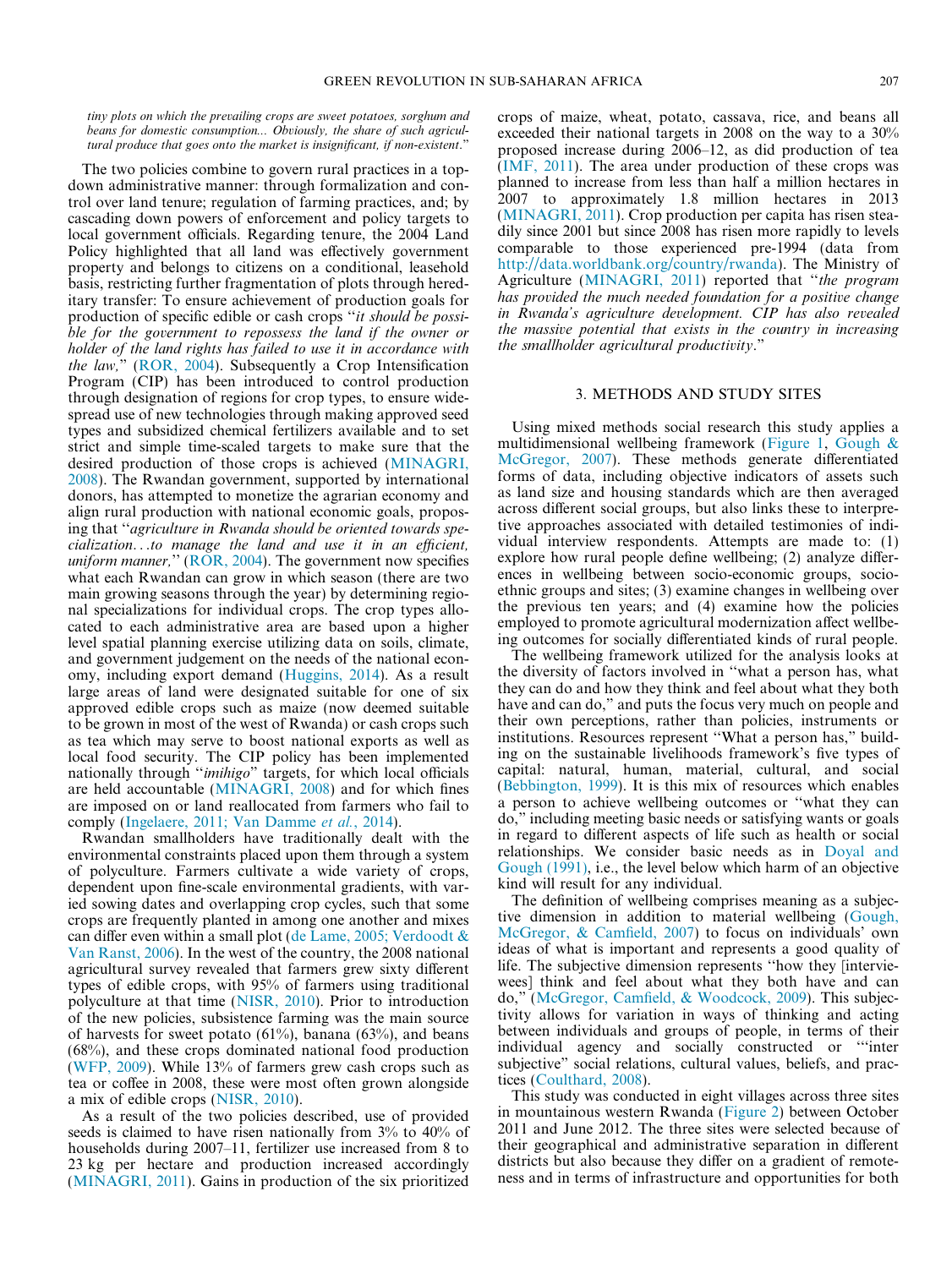tiny plots on which the prevailing crops are sweet potatoes, sorghum and beans for domestic consumption... Obviously, the share of such agricultural produce that goes onto the market is insignificant, if non-existent."

The two policies combine to govern rural practices in a topdown administrative manner: through formalization and control over land tenure; regulation of farming practices, and; by cascading down powers of enforcement and policy targets to local government officials. Regarding tenure, the 2004 Land Policy highlighted that all land was effectively government property and belongs to citizens on a conditional, leasehold basis, restricting further fragmentation of plots through hereditary transfer: To ensure achievement of production goals for production of specific edible or cash crops ''it should be possible for the government to repossess the land if the owner or holder of the land rights has failed to use it in accordance with the law," ([ROR, 2004](#page-13-0)). Subsequently a Crop Intensification Program (CIP) has been introduced to control production through designation of regions for crop types, to ensure widespread use of new technologies through making approved seed types and subsidized chemical fertilizers available and to set strict and simple time-scaled targets to make sure that the desired production of those crops is achieved [\(MINAGRI,](#page-13-0) [2008](#page-13-0)). The Rwandan government, supported by international donors, has attempted to monetize the agrarian economy and align rural production with national economic goals, proposing that ''agriculture in Rwanda should be oriented towards specialization...to manage the land and use it in an efficient, uniform manner," [\(ROR, 2004](#page-13-0)). The government now specifies what each Rwandan can grow in which season (there are two main growing seasons through the year) by determining regional specializations for individual crops. The crop types allocated to each administrative area are based upon a higher level spatial planning exercise utilizing data on soils, climate, and government judgement on the needs of the national economy, including export demand [\(Huggins, 2014\)](#page-13-0). As a result large areas of land were designated suitable for one of six approved edible crops such as maize (now deemed suitable to be grown in most of the west of Rwanda) or cash crops such as tea which may serve to boost national exports as well as local food security. The CIP policy has been implemented nationally through "*imihigo*" targets, for which local officials are held accountable ([MINAGRI, 2008\)](#page-13-0) and for which fines are imposed on or land reallocated from farmers who fail to comply [\(Ingelaere, 2011; Van Damme](#page-13-0) et al., 2014).

Rwandan smallholders have traditionally dealt with the environmental constraints placed upon them through a system of polyculture. Farmers cultivate a wide variety of crops, dependent upon fine-scale environmental gradients, with varied sowing dates and overlapping crop cycles, such that some crops are frequently planted in among one another and mixes can differ even within a small plot [\(de Lame, 2005; Verdoodt &](#page-12-0) [Van Ranst, 2006](#page-12-0)). In the west of the country, the 2008 national agricultural survey revealed that farmers grew sixty different types of edible crops, with 95% of farmers using traditional polyculture at that time [\(NISR, 2010](#page-13-0)). Prior to introduction of the new policies, subsistence farming was the main source of harvests for sweet potato  $(61\%)$ , banana  $(63\%)$ , and beans (68%), and these crops dominated national food production ([WFP, 2009\)](#page-14-0). While 13% of farmers grew cash crops such as tea or coffee in 2008, these were most often grown alongside a mix of edible crops [\(NISR, 2010\)](#page-13-0).

As a result of the two policies described, use of provided seeds is claimed to have risen nationally from 3% to 40% of households during 2007–11, fertilizer use increased from 8 to 23 kg per hectare and production increased accordingly ([MINAGRI, 2011\)](#page-13-0). Gains in production of the six prioritized crops of maize, wheat, potato, cassava, rice, and beans all exceeded their national targets in 2008 on the way to a 30% proposed increase during 2006–12, as did production of tea ([IMF, 2011](#page-13-0)). The area under production of these crops was planned to increase from less than half a million hectares in 2007 to approximately 1.8 million hectares in 2013 ([MINAGRI, 2011](#page-13-0)). Crop production per capita has risen steadily since 2001 but since 2008 has risen more rapidly to levels comparable to those experienced pre-1994 (data from [http://data.worldbank.org/country/rwanda\)](http://data.worldbank.org/country/rwanda). The Ministry of Agriculture ([MINAGRI, 2011\)](#page-13-0) reported that ''the program has provided the much needed foundation for a positive change in Rwanda's agriculture development. CIP has also revealed the massive potential that exists in the country in increasing the smallholder agricultural productivity."

## 3. METHODS AND STUDY SITES

Using mixed methods social research this study applies a multidimensional wellbeing framework [\(Figure 1,](#page-4-0) [Gough &](#page-12-0) [McGregor, 2007\)](#page-12-0). These methods generate differentiated forms of data, including objective indicators of assets such as land size and housing standards which are then averaged across different social groups, but also links these to interpretive approaches associated with detailed testimonies of individual interview respondents. Attempts are made to: (1) explore how rural people define wellbeing; (2) analyze differences in wellbeing between socio-economic groups, socioethnic groups and sites; (3) examine changes in wellbeing over the previous ten years; and (4) examine how the policies employed to promote agricultural modernization affect wellbeing outcomes for socially differentiated kinds of rural people.

The wellbeing framework utilized for the analysis looks at the diversity of factors involved in ''what a person has, what they can do and how they think and feel about what they both have and can do," and puts the focus very much on people and their own perceptions, rather than policies, instruments or institutions. Resources represent ''What a person has," building on the sustainable livelihoods framework's five types of capital: natural, human, material, cultural, and social ([Bebbington, 1999\)](#page-12-0). It is this mix of resources which enables a person to achieve wellbeing outcomes or ''what they can do," including meeting basic needs or satisfying wants or goals in regard to different aspects of life such as health or social relationships. We consider basic needs as in [Doyal and](#page-12-0) [Gough \(1991\),](#page-12-0) i.e., the level below which harm of an objective kind will result for any individual.

The definition of wellbeing comprises meaning as a subjective dimension in addition to material wellbeing ([Gough,](#page-12-0) [McGregor, & Camfield, 2007](#page-12-0)) to focus on individuals' own ideas of what is important and represents a good quality of life. The subjective dimension represents ''how they [interviewees] think and feel about what they both have and can do," ([McGregor, Camfield, & Woodcock, 2009\)](#page-13-0). This subjectivity allows for variation in ways of thinking and acting between individuals and groups of people, in terms of their individual agency and socially constructed or '''inter subjective" social relations, cultural values, beliefs, and practices [\(Coulthard, 2008\)](#page-12-0).

This study was conducted in eight villages across three sites in mountainous western Rwanda [\(Figure 2\)](#page-4-0) between October 2011 and June 2012. The three sites were selected because of their geographical and administrative separation in different districts but also because they differ on a gradient of remoteness and in terms of infrastructure and opportunities for both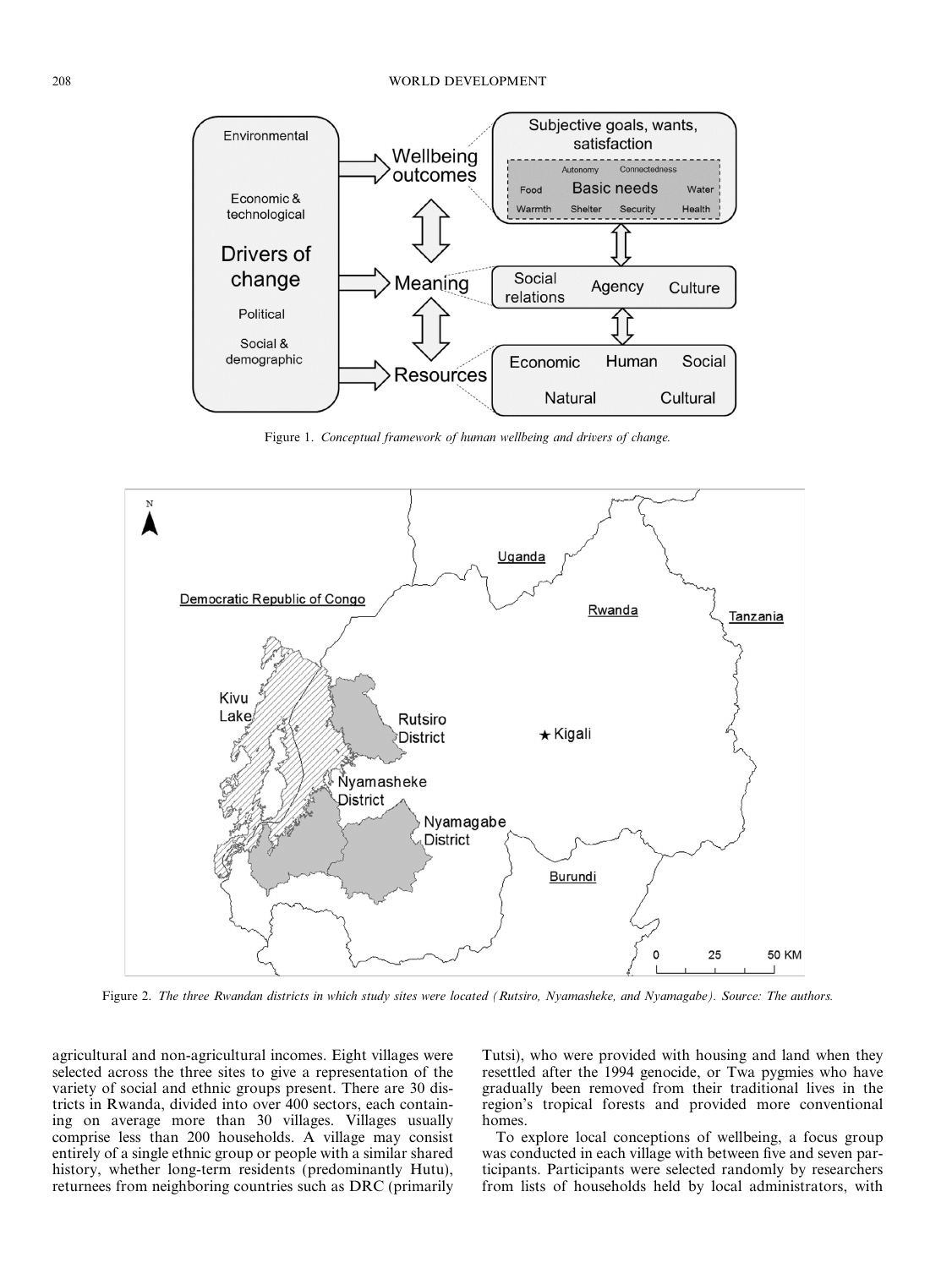#### <span id="page-4-0"></span>208 WORLD DEVELOPMENT



Figure 1. Conceptual framework of human wellbeing and drivers of change.



Figure 2. The three Rwandan districts in which study sites were located (Rutsiro, Nyamasheke, and Nyamagabe). Source: The authors.

agricultural and non-agricultural incomes. Eight villages were selected across the three sites to give a representation of the variety of social and ethnic groups present. There are 30 districts in Rwanda, divided into over 400 sectors, each containing on average more than 30 villages. Villages usually comprise less than 200 households. A village may consist entirely of a single ethnic group or people with a similar shared history, whether long-term residents (predominantly Hutu), returnees from neighboring countries such as DRC (primarily Tutsi), who were provided with housing and land when they resettled after the 1994 genocide, or Twa pygmies who have gradually been removed from their traditional lives in the region's tropical forests and provided more conventional homes.

To explore local conceptions of wellbeing, a focus group was conducted in each village with between five and seven participants. Participants were selected randomly by researchers from lists of households held by local administrators, with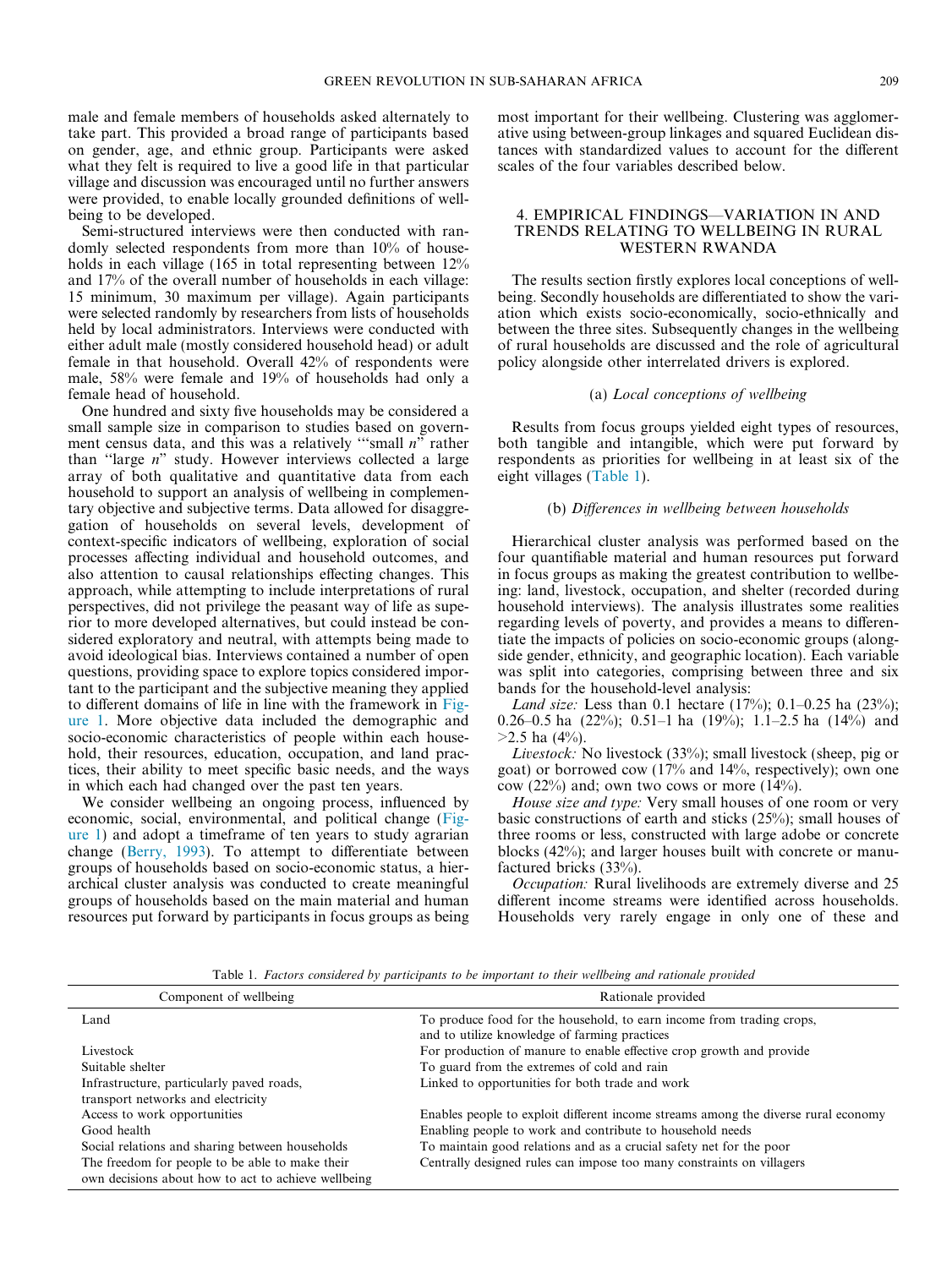male and female members of households asked alternately to take part. This provided a broad range of participants based on gender, age, and ethnic group. Participants were asked what they felt is required to live a good life in that particular village and discussion was encouraged until no further answers were provided, to enable locally grounded definitions of wellbeing to be developed.

Semi-structured interviews were then conducted with randomly selected respondents from more than 10% of households in each village (165 in total representing between  $12\%$ ) and 17% of the overall number of households in each village: 15 minimum, 30 maximum per village). Again participants were selected randomly by researchers from lists of households held by local administrators. Interviews were conducted with either adult male (mostly considered household head) or adult female in that household. Overall 42% of respondents were male, 58% were female and 19% of households had only a female head of household.

One hundred and sixty five households may be considered a small sample size in comparison to studies based on government census data, and this was a relatively "'small  $n$ " rather than ''large n" study. However interviews collected a large array of both qualitative and quantitative data from each household to support an analysis of wellbeing in complementary objective and subjective terms. Data allowed for disaggregation of households on several levels, development of context-specific indicators of wellbeing, exploration of social processes affecting individual and household outcomes, and also attention to causal relationships effecting changes. This approach, while attempting to include interpretations of rural perspectives, did not privilege the peasant way of life as superior to more developed alternatives, but could instead be considered exploratory and neutral, with attempts being made to avoid ideological bias. Interviews contained a number of open questions, providing space to explore topics considered important to the participant and the subjective meaning they applied to different domains of life in line with the framework in [Fig](#page-4-0)[ure 1](#page-4-0). More objective data included the demographic and socio-economic characteristics of people within each household, their resources, education, occupation, and land practices, their ability to meet specific basic needs, and the ways in which each had changed over the past ten years.

We consider wellbeing an ongoing process, influenced by economic, social, environmental, and political change ([Fig](#page-4-0)[ure 1\)](#page-4-0) and adopt a timeframe of ten years to study agrarian change [\(Berry, 1993\)](#page-12-0). To attempt to differentiate between groups of households based on socio-economic status, a hierarchical cluster analysis was conducted to create meaningful groups of households based on the main material and human resources put forward by participants in focus groups as being most important for their wellbeing. Clustering was agglomerative using between-group linkages and squared Euclidean distances with standardized values to account for the different scales of the four variables described below.

# 4. EMPIRICAL FINDINGS—VARIATION IN AND TRENDS RELATING TO WELLBEING IN RURAL WESTERN RWANDA

The results section firstly explores local conceptions of wellbeing. Secondly households are differentiated to show the variation which exists socio-economically, socio-ethnically and between the three sites. Subsequently changes in the wellbeing of rural households are discussed and the role of agricultural policy alongside other interrelated drivers is explored.

#### (a) Local conceptions of wellbeing

Results from focus groups yielded eight types of resources, both tangible and intangible, which were put forward by respondents as priorities for wellbeing in at least six of the eight villages (Table 1).

#### (b) Differences in wellbeing between households

Hierarchical cluster analysis was performed based on the four quantifiable material and human resources put forward in focus groups as making the greatest contribution to wellbeing: land, livestock, occupation, and shelter (recorded during household interviews). The analysis illustrates some realities regarding levels of poverty, and provides a means to differentiate the impacts of policies on socio-economic groups (alongside gender, ethnicity, and geographic location). Each variable was split into categories, comprising between three and six bands for the household-level analysis:

*Land size:* Less than 0.1 hectare  $(17\%)$ ; 0.1–0.25 ha  $(23\%)$ ; 0.26–0.5 ha (22%); 0.51–1 ha (19%); 1.1–2.5 ha (14%) and  $>2.5$  ha  $(4\%)$ .

Livestock: No livestock (33%); small livestock (sheep, pig or goat) or borrowed cow (17% and 14%, respectively); own one cow (22%) and; own two cows or more  $(14\%)$ .

House size and type: Very small houses of one room or very basic constructions of earth and sticks (25%); small houses of three rooms or less, constructed with large adobe or concrete blocks (42%); and larger houses built with concrete or manufactured bricks (33%).

Occupation: Rural livelihoods are extremely diverse and 25 different income streams were identified across households. Households very rarely engage in only one of these and

Table 1. Factors considered by participants to be important to their wellbeing and rationale provided

| Component of wellbeing                              | Rationale provided                                                                 |
|-----------------------------------------------------|------------------------------------------------------------------------------------|
| Land                                                | To produce food for the household, to earn income from trading crops,              |
|                                                     | and to utilize knowledge of farming practices                                      |
| Livestock                                           | For production of manure to enable effective crop growth and provide               |
| Suitable shelter                                    | To guard from the extremes of cold and rain                                        |
| Infrastructure, particularly paved roads,           | Linked to opportunities for both trade and work                                    |
| transport networks and electricity                  |                                                                                    |
| Access to work opportunities                        | Enables people to exploit different income streams among the diverse rural economy |
| Good health                                         | Enabling people to work and contribute to household needs                          |
| Social relations and sharing between households     | To maintain good relations and as a crucial safety net for the poor                |
| The freedom for people to be able to make their     | Centrally designed rules can impose too many constraints on villagers              |
| own decisions about how to act to achieve wellbeing |                                                                                    |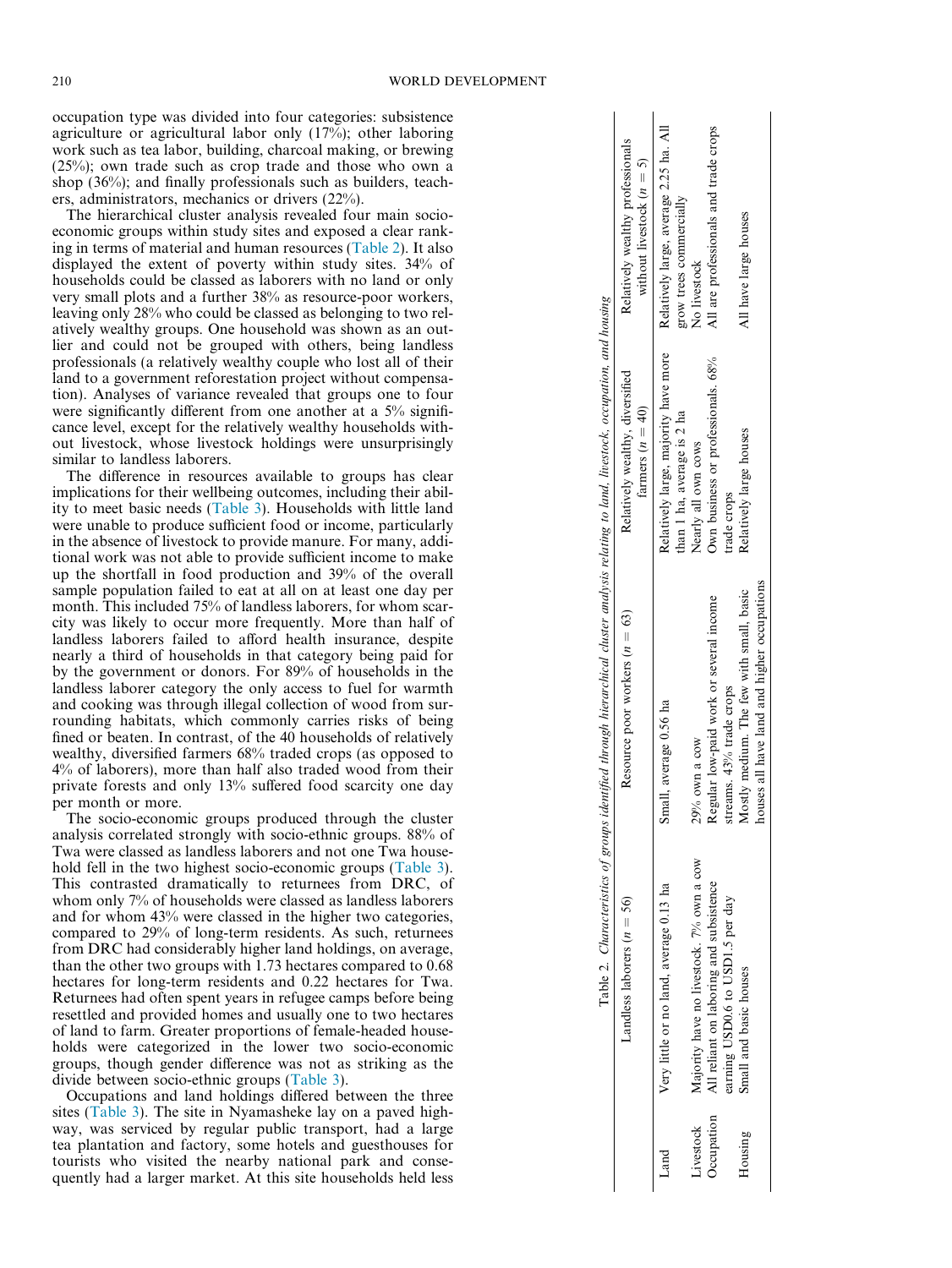occupation type was divided into four categories: subsistence agriculture or agricultural labor only (17%); other laboring work such as tea labor, building, charcoal making, or brewing (25%); own trade such as crop trade and those who own a shop (36%); and finally professionals such as builders, teachers, administrators, mechanics or drivers (22%).

The hierarchical cluster analysis revealed four main socioeconomic groups within study sites and exposed a clear ranking in terms of material and human resources (Table 2). It also displayed the extent of poverty within study sites. 34% of households could be classed as laborers with no land or only very small plots and a further 38% as resource-poor workers, leaving only 28% who could be classed as belonging to two relatively wealthy groups. One household was shown as an outlier and could not be grouped with others, being landless professionals (a relatively wealthy couple who lost all of their land to a government reforestation project without compensation). Analyses of variance revealed that groups one to four were significantly different from one another at a 5% significance level, except for the relatively wealthy households without livestock, whose livestock holdings were unsurprisingly similar to landless laborers.

The difference in resources available to groups has clear implications for their wellbeing outcomes, including their ability to meet basic needs ([Table 3\)](#page-7-0). Households with little land were unable to produce sufficient food or income, particularly in the absence of livestock to provide manure. For many, additional work was not able to provide sufficient income to make up the shortfall in food production and 39% of the overall sample population failed to eat at all on at least one day per month. This included 75% of landless laborers, for whom scarcity was likely to occur more frequently. More than half of landless laborers failed to afford health insurance, despite nearly a third of households in that category being paid for by the government or donors. For 89% of households in the landless laborer category the only access to fuel for warmth and cooking was through illegal collection of wood from surrounding habitats, which commonly carries risks of being fined or beaten. In contrast, of the 40 households of relatively wealthy, diversified farmers 68% traded crops (as opposed to 4% of laborers), more than half also traded wood from their private forests and only 13% suffered food scarcity one day per month or more.

The socio-economic groups produced through the cluster analysis correlated strongly with socio-ethnic groups. 88% of Twa were classed as landless laborers and not one Twa household fell in the two highest socio-economic groups [\(Table 3](#page-7-0)). This contrasted dramatically to returnees from DRC, of whom only 7% of households were classed as landless laborers and for whom 43% were classed in the higher two categories, compared to 29% of long-term residents. As such, returnees from DRC had considerably higher land holdings, on average, than the other two groups with 1.73 hectares compared to 0.68 hectares for long-term residents and 0.22 hectares for Twa. Returnees had often spent years in refugee camps before being resettled and provided homes and usually one to two hectares of land to farm. Greater proportions of female-headed households were categorized in the lower two socio-economic groups, though gender difference was not as striking as the divide between socio-ethnic groups ([Table 3\)](#page-7-0).

Occupations and land holdings differed between the three sites [\(Table 3](#page-7-0)). The site in Nyamasheke lay on a paved highway, was serviced by regular public transport, had a large tea plantation and factory, some hotels and guesthouses for tourists who visited the nearby national park and consequently had a larger market. At this site households held less

|                               | Table 2. Characteristics of groups                                                  | identified through hierarchical cluster analysis relating to land, livestock, occupation, and housing               |                                                                    |                                                                   |
|-------------------------------|-------------------------------------------------------------------------------------|---------------------------------------------------------------------------------------------------------------------|--------------------------------------------------------------------|-------------------------------------------------------------------|
|                               | Landless laborers ( $n = 56$ )                                                      | Resource poor workers $(n = 63)$                                                                                    | Relatively wealthy, diversified<br>farmers $(n = 40)$              | Relatively wealthy professionals<br>without livestock $(n = 5)$   |
| <sub>and</sub>                | Very little or no land, average 0.13 ha                                             | Small, average 0.56 ha                                                                                              | Relatively large, majority have more<br>than 1 ha, average is 2 ha | Relatively large, average 2.25 ha. All<br>grow trees commercially |
| <b>Occupation</b><br>ivestock | Majority have no livestock. 7% own a cow<br>All reliant on laboring and subsistence | Regular low-paid work or several income<br>$29%$ own a cow                                                          | Own business or professionals. 68%<br>Nearly all own cows          | All are professionals and trade crops<br>No livestock             |
| Housing                       | earning USD0.6 to USD1.5 per day<br>Small and basic houses                          | houses all have land and higher occupations<br>Mostly medium. The few with small, basic<br>streams. 43% trade crops | Relatively large houses<br>trade crops                             | All have large houses                                             |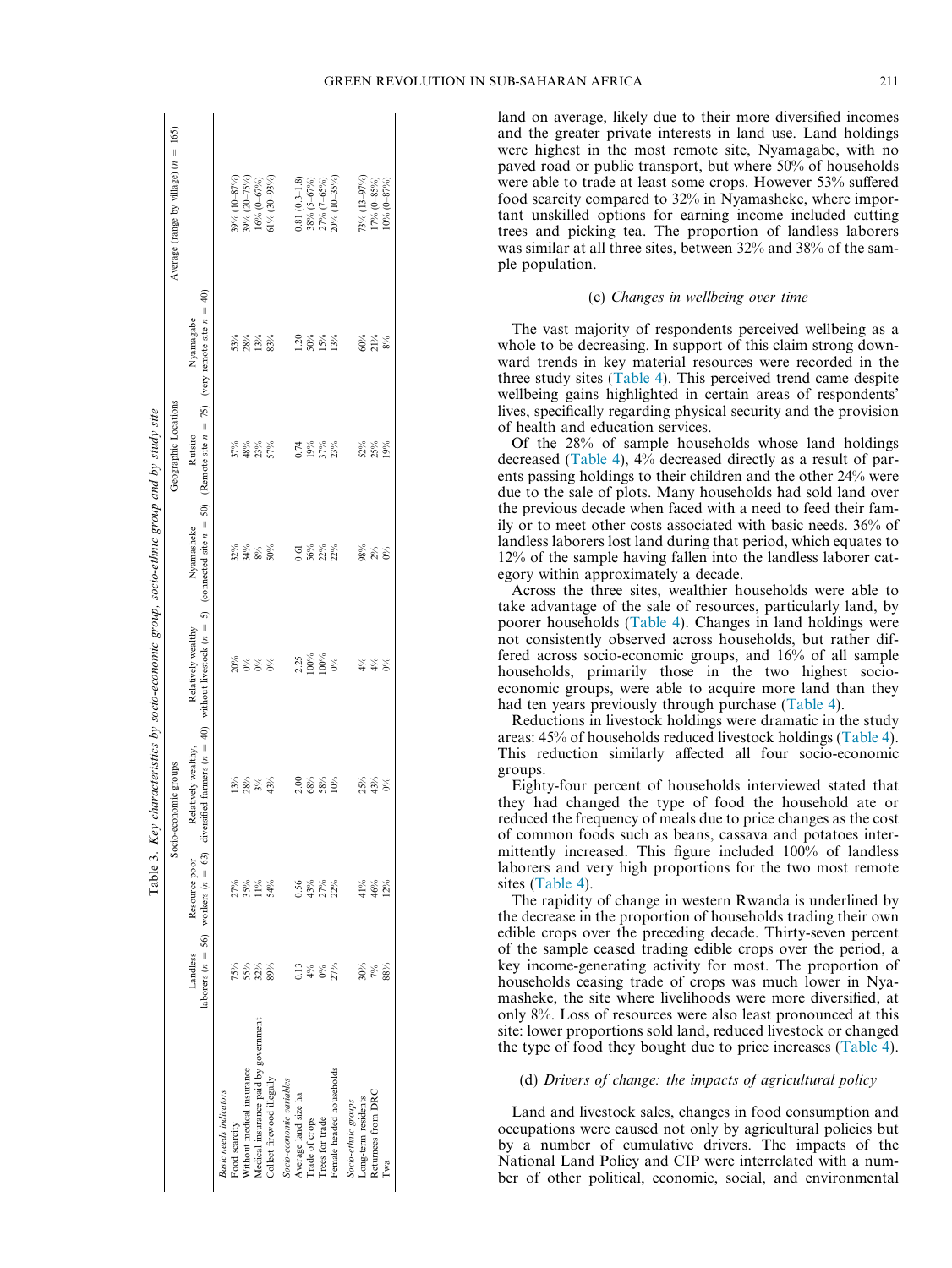<span id="page-7-0"></span>

|            |               | Socio-economic groups                                                                                                                                                                                   |                                           |                    | Geographic Locations |                | Average (range by village) $(n = 165)$ |
|------------|---------------|---------------------------------------------------------------------------------------------------------------------------------------------------------------------------------------------------------|-------------------------------------------|--------------------|----------------------|----------------|----------------------------------------|
| Landless   | Resource poor | laborers $(n = 56)$ workers $(n = 63)$ diversified farmers $(n = 40)$ without livestock $(n = 5)$ (connected site $n = 50$ ) (Remote site $n = 75$ ) (very remote site $n = 40$ )<br>Relatively wealthy | Relatively wealthy                        | Nyamasheke         | Rutsiro              | Nyamagabe      |                                        |
|            |               |                                                                                                                                                                                                         |                                           |                    |                      |                |                                        |
| 75%        | 27%           | 13%                                                                                                                                                                                                     | 20%                                       | 32%                | 37%                  | 53%            | 39% (10-87%)                           |
| 55%        |               | 28%                                                                                                                                                                                                     |                                           | $\frac{34\%}{8\%}$ | 48%                  | 28%            | 39% (20-75%)                           |
| $32\%$     | $35%$<br>11%  | $3\%$                                                                                                                                                                                                   | $\begin{array}{c} 0\% \\ 0\% \end{array}$ |                    | 23%                  | $13\%$         | $16% (0 - 67%)$                        |
| 89%        |               | 43%                                                                                                                                                                                                     | $0\%$                                     | 50%                | 57%                  | 83%            | $61\% (30 - 93\%)$                     |
|            |               |                                                                                                                                                                                                         |                                           |                    |                      |                |                                        |
|            |               | 2.00                                                                                                                                                                                                    | 2.25                                      | 0.61               | 0.74                 | $\frac{20}{2}$ | $0.81(0.3-1.8)$                        |
| 그 * s<br>0 | $0.56$<br>43% | 68%                                                                                                                                                                                                     | 100%                                      | 56%                | 19%                  | 50%            | $38% (5 - 67%$                         |
|            | 27%           | 58%                                                                                                                                                                                                     | 100%                                      | 22%                | 37%                  | 15%            | $27% (7 - 65%)$                        |
| 27%        |               | 10%                                                                                                                                                                                                     | $0\%$                                     | 22%                | 23%                  | 13%            | 20% (10-35%)                           |
|            |               |                                                                                                                                                                                                         |                                           |                    |                      |                |                                        |
| 30%        | 41%           | 25%                                                                                                                                                                                                     | 4%                                        | 98%                | 52%                  | $60\%$         | 73% (13-97%)                           |
| $7\%$      | 46%           | 43%                                                                                                                                                                                                     | 4%                                        | $2\%$              | 25%                  | 21%            | 17% (0-85%)                            |
| 88%        | 12%           | $0\%$                                                                                                                                                                                                   | $0\%$                                     | $0\%$              | 19%                  | 8%             | $10% (0-87%)$                          |

 $Table 3$ . Key characteristics by socio-economic group, socio-ethnic group and by study site

land on average, likely due to their more diversified incomes and the greater private interests in land use. Land holdings were highest in the most remote site, Nyamagabe, with no paved road or public transport, but where 50% of households were able to trade at least some crops. However 53% suffered food scarcity compared to 32% in Nyamasheke, where important unskilled options for earning income included cutting trees and picking tea. The proportion of landless laborers was similar at all three sites, between 32% and 38% of the sample population.

### (c) Changes in wellbeing over time

The vast majority of respondents perceived wellbeing as a whole to be decreasing. In support of this claim strong downward trends in key material resources were recorded in the three study sites ([Table 4\)](#page-8-0). This perceived trend came despite wellbeing gains highlighted in certain areas of respondents' lives, specifically regarding physical security and the provision of health and education services.

Of the 28% of sample households whose land holdings decreased [\(Table 4](#page-8-0)), 4% decreased directly as a result of parents passing holdings to their children and the other 24% were due to the sale of plots. Many households had sold land over the previous decade when faced with a need to feed their family or to meet other costs associated with basic needs. 36% of landless laborers lost land during that period, which equates to 12% of the sample having fallen into the landless laborer category within approximately a decade.

Across the three sites, wealthier households were able to take advantage of the sale of resources, particularly land, by poorer households [\(Table 4\)](#page-8-0). Changes in land holdings were not consistently observed across households, but rather differed across socio-economic groups, and 16% of all sample households, primarily those in the two highest socioeconomic groups, were able to acquire more land than they had ten years previously through purchase [\(Table 4](#page-8-0)).

Reductions in livestock holdings were dramatic in the study areas: 45% of households reduced livestock holdings ([Table 4\)](#page-8-0). This reduction similarly affected all four socio-economic groups.

Eighty-four percent of households interviewed stated that they had changed the type of food the household ate or reduced the frequency of meals due to price changes as the cost of common foods such as beans, cassava and potatoes intermittently increased. This figure included 100% of landless laborers and very high proportions for the two most remote sites ([Table 4\)](#page-8-0).

The rapidity of change in western Rwanda is underlined by the decrease in the proportion of households trading their own edible crops over the preceding decade. Thirty-seven percent of the sample ceased trading edible crops over the period, a key income-generating activity for most. The proportion of households ceasing trade of crops was much lower in Nyamasheke, the site where livelihoods were more diversified, at only 8%. Loss of resources were also least pronounced at this site: lower proportions sold land, reduced livestock or changed the type of food they bought due to price increases [\(Table 4\)](#page-8-0).

#### (d) Drivers of change: the impacts of agricultural policy

Land and livestock sales, changes in food consumption and occupations were caused not only by agricultural policies but by a number of cumulative drivers. The impacts of the National Land Policy and CIP were interrelated with a number of other political, economic, social, and environmental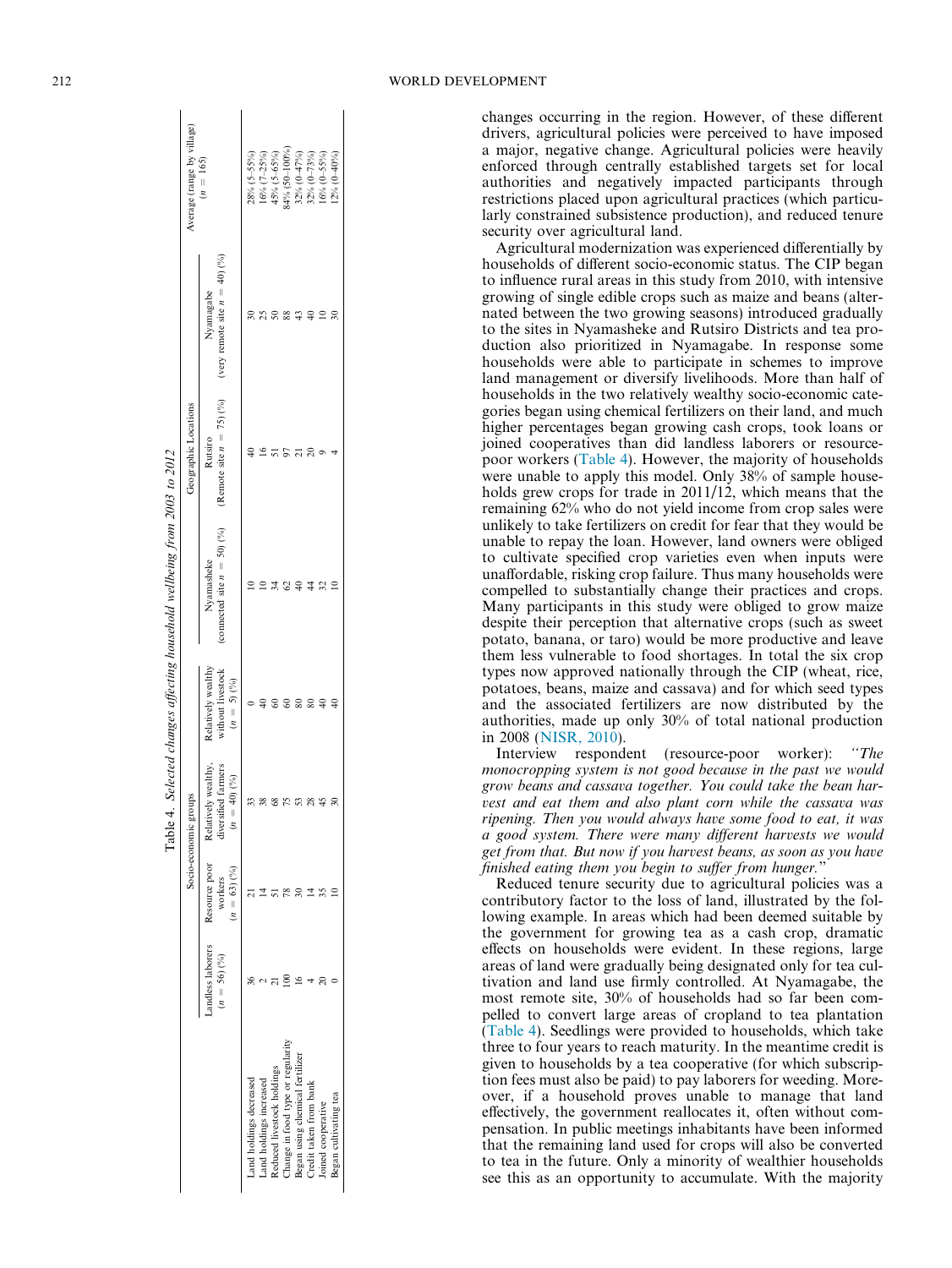<span id="page-8-0"></span>

|                                   |                                                   | Socio-economic          | groups                                                    |                                                         |                                                                          | Geographic Locations |                                               | Average (range by village) |
|-----------------------------------|---------------------------------------------------|-------------------------|-----------------------------------------------------------|---------------------------------------------------------|--------------------------------------------------------------------------|----------------------|-----------------------------------------------|----------------------------|
|                                   | Landless laborers Resource poor<br>$(n = 56)$ (%) | $(n = 63)(%$<br>workers | Relatively wealthy,<br>diversified farmers<br>$n = 40(%)$ | without livestock<br>Relatively wealthy<br>$(n = 5)(%)$ | (connected site $n = 50$ ) (%) (Remote site $n = 75$ ) (%)<br>Nyamasheke | Rutsiro              | (very remote site $n = 40$ ) (%)<br>Nyamagabe | $(n = 165)$                |
| Land holdings decreased           |                                                   |                         |                                                           |                                                         |                                                                          |                      |                                               | $28% (5 - 55%)$            |
| Land holdings increased           |                                                   |                         |                                                           |                                                         |                                                                          |                      |                                               | $16% (7 - 25%)$            |
| Reduced livestock holdings        |                                                   |                         |                                                           |                                                         |                                                                          |                      |                                               | 45% (5-65%)                |
| Change in food type or regularity |                                                   |                         |                                                           |                                                         |                                                                          |                      |                                               | 84% (50-100%)              |
| Began using chemical fertilizer   |                                                   |                         |                                                           |                                                         |                                                                          |                      |                                               | $32% (0 - 47%)$            |
| Credit taken from bank            |                                                   |                         |                                                           |                                                         |                                                                          |                      |                                               | $32\% (0 - 73\%)$          |
| Joined cooperative                |                                                   | z                       |                                                           |                                                         |                                                                          |                      |                                               | 16% (0-55%)                |
| Began cultivating tea             |                                                   |                         |                                                           |                                                         |                                                                          |                      |                                               | $12% (0-40%)$              |

changes occurring in the region. However, of these different drivers, agricultural policies were perceived to have imposed a major, negative change. Agricultural policies were heavily enforced through centrally established targets set for local authorities and negatively impacted participants through restrictions placed upon agricultural practices (which particularly constrained subsistence production), and reduced tenure security over agricultural land.

Agricultural modernization was experienced differentially by households of different socio-economic status. The CIP began to influence rural areas in this study from 2010, with intensive growing of single edible crops such as maize and beans (alternated between the two growing seasons) introduced gradually to the sites in Nyamasheke and Rutsiro Districts and tea production also prioritized in Nyamagabe. In response some households were able to participate in schemes to improve land management or diversify livelihoods. More than half of households in the two relatively wealthy socio-economic categories began using chemical fertilizers on their land, and much higher percentages began growing cash crops, took loans or joined cooperatives than did landless laborers or resourcepoor workers (Table 4). However, the majority of households were unable to apply this model. Only 38% of sample households grew crops for trade in 2011/12, which means that the remaining 62% who do not yield income from crop sales were unlikely to take fertilizers on credit for fear that they would be unable to repay the loan. However, land owners were obliged to cultivate specified crop varieties even when inputs were unaffordable, risking crop failure. Thus many households were compelled to substantially change their practices and crops. Many participants in this study were obliged to grow maize despite their perception that alternative crops (such as sweet potato, banana, or taro) would be more productive and leave them less vulnerable to food shortages. In total the six crop types now approved nationally through the CIP (wheat, rice, potatoes, beans, maize and cassava) and for which seed types and the associated fertilizers are now distributed by the authorities, made up only 30% of total national production in 2008 ([NISR, 2010](#page-13-0)).

Interview respondent (resource-poor worker): ''The monocropping system is not good because in the past we would grow beans and cassava together. You could take the bean harvest and eat them and also plant corn while the cassava was ripening. Then you would always have some food to eat, it was a good system. There were many different harvests we would get from that. But now if you harvest beans, as soon as you have finished eating them you begin to suffer from hunger."

Reduced tenure security due to agricultural policies was a contributory factor to the loss of land, illustrated by the following example. In areas which had been deemed suitable by the government for growing tea as a cash crop, dramatic effects on households were evident. In these regions, large areas of land were gradually being designated only for tea cultivation and land use firmly controlled. At Nyamagabe, the most remote site, 30% of households had so far been compelled to convert large areas of cropland to tea plantation (Table 4). Seedlings were provided to households, which take three to four years to reach maturity. In the meantime credit is given to households by a tea cooperative (for which subscription fees must also be paid) to pay laborers for weeding. Moreover, if a household proves unable to manage that land effectively, the government reallocates it, often without compensation. In public meetings inhabitants have been informed that the remaining land used for crops will also be converted to tea in the future. Only a minority of wealthier households see this as an opportunity to accumulate. With the majority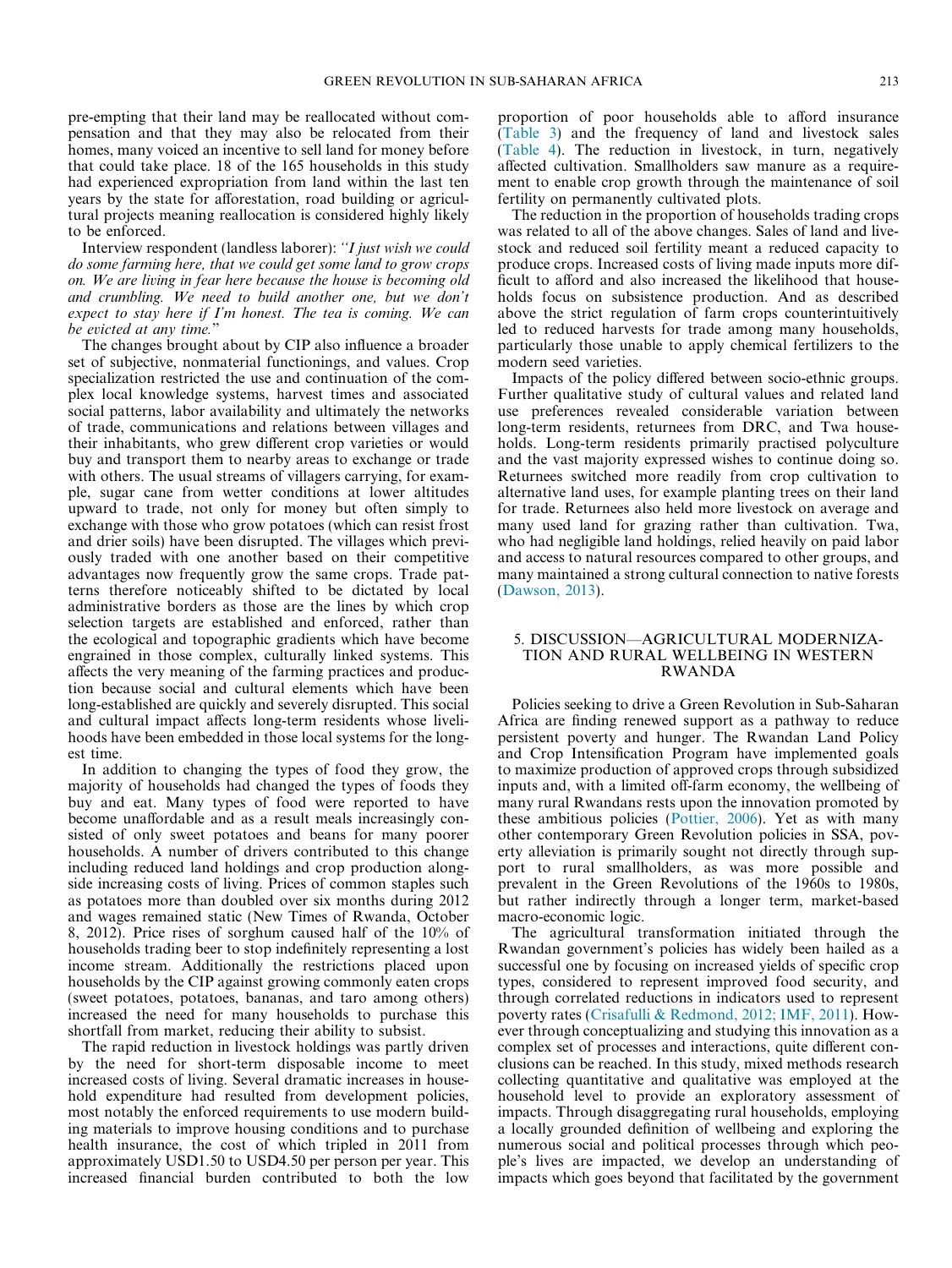pre-empting that their land may be reallocated without compensation and that they may also be relocated from their homes, many voiced an incentive to sell land for money before that could take place. 18 of the 165 households in this study had experienced expropriation from land within the last ten years by the state for afforestation, road building or agricultural projects meaning reallocation is considered highly likely to be enforced.

Interview respondent (landless laborer): ''I just wish we could do some farming here, that we could get some land to grow crops on. We are living in fear here because the house is becoming old and crumbling. We need to build another one, but we don't expect to stay here if I'm honest. The tea is coming. We can be evicted at any time.

The changes brought about by CIP also influence a broader set of subjective, nonmaterial functionings, and values. Crop specialization restricted the use and continuation of the complex local knowledge systems, harvest times and associated social patterns, labor availability and ultimately the networks of trade, communications and relations between villages and their inhabitants, who grew different crop varieties or would buy and transport them to nearby areas to exchange or trade with others. The usual streams of villagers carrying, for example, sugar cane from wetter conditions at lower altitudes upward to trade, not only for money but often simply to exchange with those who grow potatoes (which can resist frost and drier soils) have been disrupted. The villages which previously traded with one another based on their competitive advantages now frequently grow the same crops. Trade patterns therefore noticeably shifted to be dictated by local administrative borders as those are the lines by which crop selection targets are established and enforced, rather than the ecological and topographic gradients which have become engrained in those complex, culturally linked systems. This affects the very meaning of the farming practices and production because social and cultural elements which have been long-established are quickly and severely disrupted. This social and cultural impact affects long-term residents whose livelihoods have been embedded in those local systems for the longest time.

In addition to changing the types of food they grow, the majority of households had changed the types of foods they buy and eat. Many types of food were reported to have become unaffordable and as a result meals increasingly consisted of only sweet potatoes and beans for many poorer households. A number of drivers contributed to this change including reduced land holdings and crop production alongside increasing costs of living. Prices of common staples such as potatoes more than doubled over six months during 2012 and wages remained static (New Times of Rwanda, October 8, 2012). Price rises of sorghum caused half of the 10% of households trading beer to stop indefinitely representing a lost income stream. Additionally the restrictions placed upon households by the CIP against growing commonly eaten crops (sweet potatoes, potatoes, bananas, and taro among others) increased the need for many households to purchase this shortfall from market, reducing their ability to subsist.

The rapid reduction in livestock holdings was partly driven by the need for short-term disposable income to meet increased costs of living. Several dramatic increases in household expenditure had resulted from development policies, most notably the enforced requirements to use modern building materials to improve housing conditions and to purchase health insurance, the cost of which tripled in 2011 from approximately USD1.50 to USD4.50 per person per year. This increased financial burden contributed to both the low proportion of poor households able to afford insurance ([Table 3](#page-7-0)) and the frequency of land and livestock sales ([Table 4](#page-8-0)). The reduction in livestock, in turn, negatively affected cultivation. Smallholders saw manure as a requirement to enable crop growth through the maintenance of soil fertility on permanently cultivated plots.

The reduction in the proportion of households trading crops was related to all of the above changes. Sales of land and livestock and reduced soil fertility meant a reduced capacity to produce crops. Increased costs of living made inputs more difficult to afford and also increased the likelihood that households focus on subsistence production. And as described above the strict regulation of farm crops counterintuitively led to reduced harvests for trade among many households, particularly those unable to apply chemical fertilizers to the modern seed varieties.

Impacts of the policy differed between socio-ethnic groups. Further qualitative study of cultural values and related land use preferences revealed considerable variation between long-term residents, returnees from DRC, and Twa households. Long-term residents primarily practised polyculture and the vast majority expressed wishes to continue doing so. Returnees switched more readily from crop cultivation to alternative land uses, for example planting trees on their land for trade. Returnees also held more livestock on average and many used land for grazing rather than cultivation. Twa, who had negligible land holdings, relied heavily on paid labor and access to natural resources compared to other groups, and many maintained a strong cultural connection to native forests ([Dawson, 2013\)](#page-12-0).

# 5. DISCUSSION—AGRICULTURAL MODERNIZA-TION AND RURAL WELLBEING IN WESTERN RWANDA

Policies seeking to drive a Green Revolution in Sub-Saharan Africa are finding renewed support as a pathway to reduce persistent poverty and hunger. The Rwandan Land Policy and Crop Intensification Program have implemented goals to maximize production of approved crops through subsidized inputs and, with a limited off-farm economy, the wellbeing of many rural Rwandans rests upon the innovation promoted by these ambitious policies ([Pottier, 2006\)](#page-13-0). Yet as with many other contemporary Green Revolution policies in SSA, poverty alleviation is primarily sought not directly through support to rural smallholders, as was more possible and prevalent in the Green Revolutions of the 1960s to 1980s, but rather indirectly through a longer term, market-based macro-economic logic.

The agricultural transformation initiated through the Rwandan government's policies has widely been hailed as a successful one by focusing on increased yields of specific crop types, considered to represent improved food security, and through correlated reductions in indicators used to represent poverty rates ([Crisafulli & Redmond, 2012; IMF, 2011](#page-12-0)). However through conceptualizing and studying this innovation as a complex set of processes and interactions, quite different conclusions can be reached. In this study, mixed methods research collecting quantitative and qualitative was employed at the household level to provide an exploratory assessment of impacts. Through disaggregating rural households, employing a locally grounded definition of wellbeing and exploring the numerous social and political processes through which people's lives are impacted, we develop an understanding of impacts which goes beyond that facilitated by the government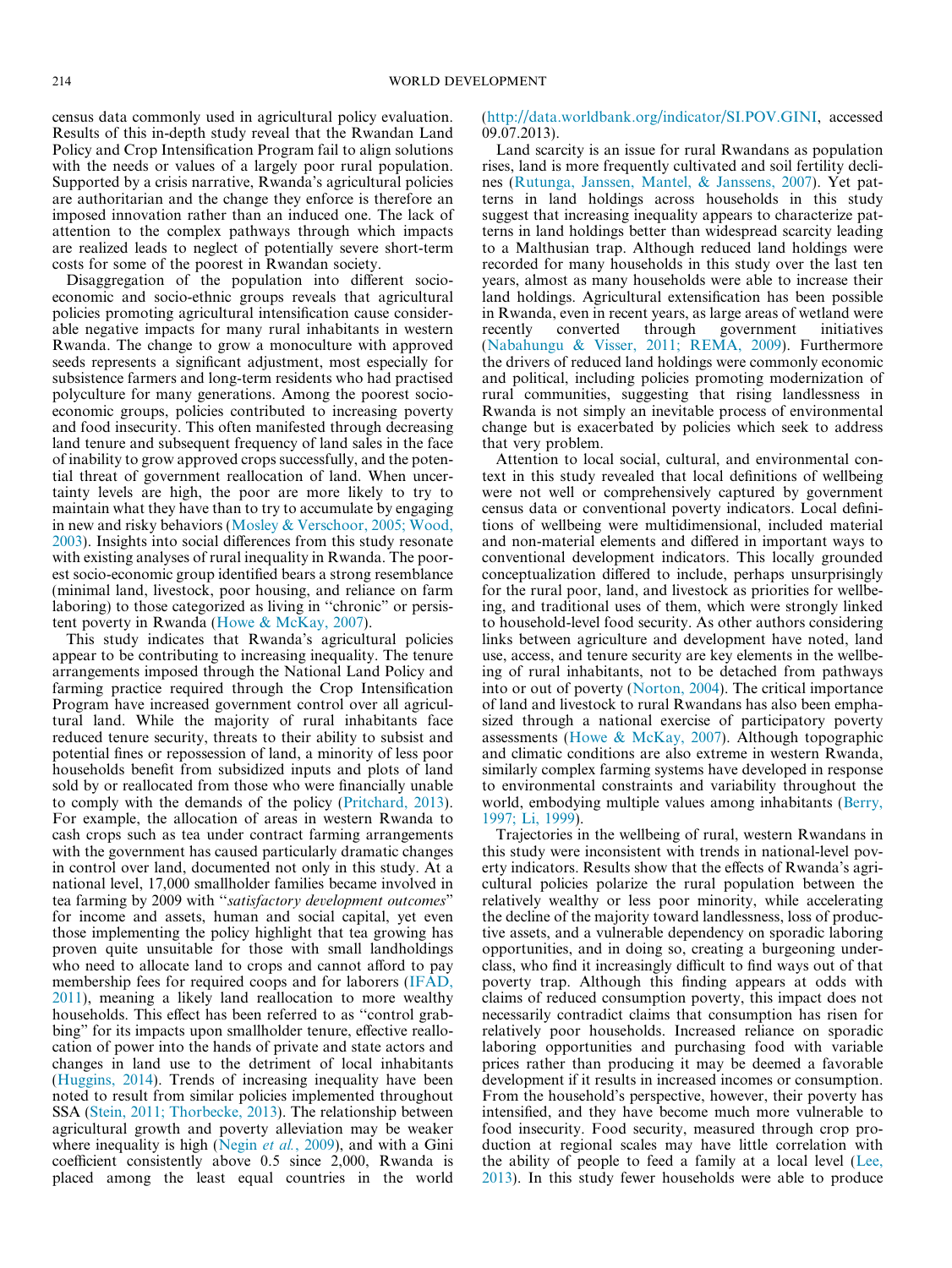census data commonly used in agricultural policy evaluation. Results of this in-depth study reveal that the Rwandan Land Policy and Crop Intensification Program fail to align solutions with the needs or values of a largely poor rural population. Supported by a crisis narrative, Rwanda's agricultural policies are authoritarian and the change they enforce is therefore an imposed innovation rather than an induced one. The lack of attention to the complex pathways through which impacts are realized leads to neglect of potentially severe short-term costs for some of the poorest in Rwandan society.

Disaggregation of the population into different socioeconomic and socio-ethnic groups reveals that agricultural policies promoting agricultural intensification cause considerable negative impacts for many rural inhabitants in western Rwanda. The change to grow a monoculture with approved seeds represents a significant adjustment, most especially for subsistence farmers and long-term residents who had practised polyculture for many generations. Among the poorest socioeconomic groups, policies contributed to increasing poverty and food insecurity. This often manifested through decreasing land tenure and subsequent frequency of land sales in the face of inability to grow approved crops successfully, and the potential threat of government reallocation of land. When uncertainty levels are high, the poor are more likely to try to maintain what they have than to try to accumulate by engaging in new and risky behaviors ([Mosley & Verschoor, 2005; Wood,](#page-13-0) [2003\)](#page-13-0). Insights into social differences from this study resonate with existing analyses of rural inequality in Rwanda. The poorest socio-economic group identified bears a strong resemblance (minimal land, livestock, poor housing, and reliance on farm laboring) to those categorized as living in ''chronic" or persistent poverty in Rwanda [\(Howe & McKay, 2007\)](#page-13-0).

This study indicates that Rwanda's agricultural policies appear to be contributing to increasing inequality. The tenure arrangements imposed through the National Land Policy and farming practice required through the Crop Intensification Program have increased government control over all agricultural land. While the majority of rural inhabitants face reduced tenure security, threats to their ability to subsist and potential fines or repossession of land, a minority of less poor households benefit from subsidized inputs and plots of land sold by or reallocated from those who were financially unable to comply with the demands of the policy ([Pritchard, 2013](#page-13-0)). For example, the allocation of areas in western Rwanda to cash crops such as tea under contract farming arrangements with the government has caused particularly dramatic changes in control over land, documented not only in this study. At a national level, 17,000 smallholder families became involved in tea farming by 2009 with ''satisfactory development outcomes" for income and assets, human and social capital, yet even those implementing the policy highlight that tea growing has proven quite unsuitable for those with small landholdings who need to allocate land to crops and cannot afford to pay membership fees for required coops and for laborers [\(IFAD,](#page-13-0) [2011\)](#page-13-0), meaning a likely land reallocation to more wealthy households. This effect has been referred to as ''control grabbing" for its impacts upon smallholder tenure, effective reallocation of power into the hands of private and state actors and changes in land use to the detriment of local inhabitants ([Huggins, 2014\)](#page-13-0). Trends of increasing inequality have been noted to result from similar policies implemented throughout SSA [\(Stein, 2011; Thorbecke, 2013\)](#page-13-0). The relationship between agricultural growth and poverty alleviation may be weaker where inequality is high (Negin *et al.*[, 2009](#page-13-0)), and with a Gini coefficient consistently above 0.5 since 2,000, Rwanda is placed among the least equal countries in the world (<http://data.worldbank.org/indicator/SI.POV.GINI>, accessed 09.07.2013).

Land scarcity is an issue for rural Rwandans as population rises, land is more frequently cultivated and soil fertility declines ([Rutunga, Janssen, Mantel, & Janssens, 2007](#page-13-0)). Yet patterns in land holdings across households in this study suggest that increasing inequality appears to characterize patterns in land holdings better than widespread scarcity leading to a Malthusian trap. Although reduced land holdings were recorded for many households in this study over the last ten years, almost as many households were able to increase their land holdings. Agricultural extensification has been possible in Rwanda, even in recent years, as large areas of wetland were recently converted through government initiatives ([Nabahungu & Visser, 2011; REMA, 2009](#page-13-0)). Furthermore the drivers of reduced land holdings were commonly economic and political, including policies promoting modernization of rural communities, suggesting that rising landlessness in Rwanda is not simply an inevitable process of environmental change but is exacerbated by policies which seek to address that very problem.

Attention to local social, cultural, and environmental context in this study revealed that local definitions of wellbeing were not well or comprehensively captured by government census data or conventional poverty indicators. Local definitions of wellbeing were multidimensional, included material and non-material elements and differed in important ways to conventional development indicators. This locally grounded conceptualization differed to include, perhaps unsurprisingly for the rural poor, land, and livestock as priorities for wellbeing, and traditional uses of them, which were strongly linked to household-level food security. As other authors considering links between agriculture and development have noted, land use, access, and tenure security are key elements in the wellbeing of rural inhabitants, not to be detached from pathways into or out of poverty ([Norton, 2004](#page-13-0)). The critical importance of land and livestock to rural Rwandans has also been emphasized through a national exercise of participatory poverty assessments [\(Howe & McKay, 2007](#page-13-0)). Although topographic and climatic conditions are also extreme in western Rwanda, similarly complex farming systems have developed in response to environmental constraints and variability throughout the world, embodying multiple values among inhabitants ([Berry,](#page-12-0) [1997; Li, 1999\)](#page-12-0).

Trajectories in the wellbeing of rural, western Rwandans in this study were inconsistent with trends in national-level poverty indicators. Results show that the effects of Rwanda's agricultural policies polarize the rural population between the relatively wealthy or less poor minority, while accelerating the decline of the majority toward landlessness, loss of productive assets, and a vulnerable dependency on sporadic laboring opportunities, and in doing so, creating a burgeoning underclass, who find it increasingly difficult to find ways out of that poverty trap. Although this finding appears at odds with claims of reduced consumption poverty, this impact does not necessarily contradict claims that consumption has risen for relatively poor households. Increased reliance on sporadic laboring opportunities and purchasing food with variable prices rather than producing it may be deemed a favorable development if it results in increased incomes or consumption. From the household's perspective, however, their poverty has intensified, and they have become much more vulnerable to food insecurity. Food security, measured through crop production at regional scales may have little correlation with the ability of people to feed a family at a local level ([Lee,](#page-13-0) [2013\)](#page-13-0). In this study fewer households were able to produce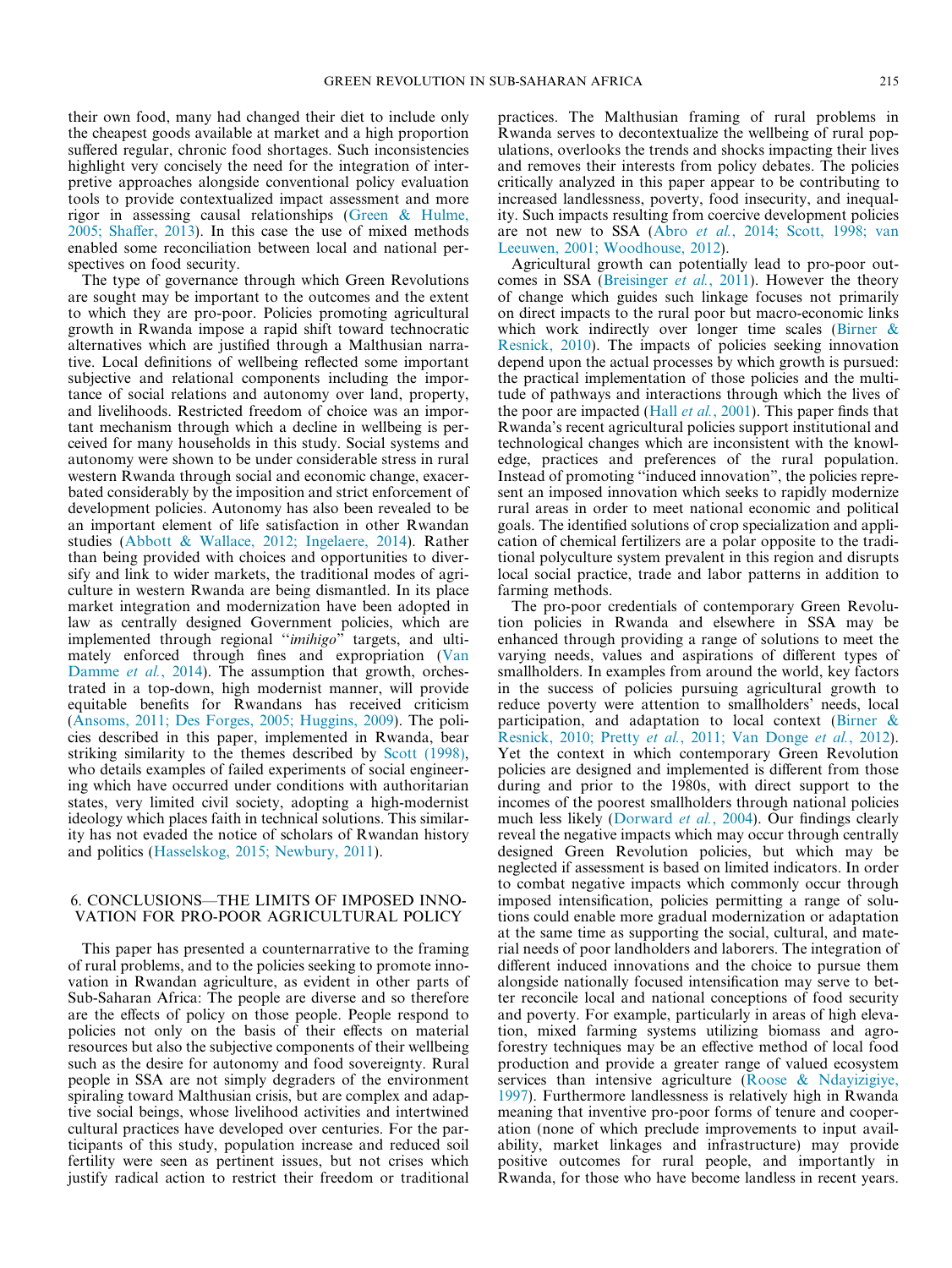their own food, many had changed their diet to include only the cheapest goods available at market and a high proportion suffered regular, chronic food shortages. Such inconsistencies highlight very concisely the need for the integration of interpretive approaches alongside conventional policy evaluation tools to provide contextualized impact assessment and more rigor in assessing causal relationships [\(Green & Hulme,](#page-13-0) [2005; Shaffer, 2013\)](#page-13-0). In this case the use of mixed methods enabled some reconciliation between local and national perspectives on food security.

The type of governance through which Green Revolutions are sought may be important to the outcomes and the extent to which they are pro-poor. Policies promoting agricultural growth in Rwanda impose a rapid shift toward technocratic alternatives which are justified through a Malthusian narrative. Local definitions of wellbeing reflected some important subjective and relational components including the importance of social relations and autonomy over land, property, and livelihoods. Restricted freedom of choice was an important mechanism through which a decline in wellbeing is perceived for many households in this study. Social systems and autonomy were shown to be under considerable stress in rural western Rwanda through social and economic change, exacerbated considerably by the imposition and strict enforcement of development policies. Autonomy has also been revealed to be an important element of life satisfaction in other Rwandan studies [\(Abbott & Wallace, 2012; Ingelaere, 2014\)](#page-12-0). Rather than being provided with choices and opportunities to diversify and link to wider markets, the traditional modes of agriculture in western Rwanda are being dismantled. In its place market integration and modernization have been adopted in law as centrally designed Government policies, which are implemented through regional "*imihigo*" targets, and ultimately enforced through fines and expropriation ([Van](#page-14-0) [Damme](#page-14-0) et al., 2014). The assumption that growth, orchestrated in a top-down, high modernist manner, will provide equitable benefits for Rwandans has received criticism ([Ansoms, 2011; Des Forges, 2005; Huggins, 2009](#page-12-0)). The policies described in this paper, implemented in Rwanda, bear striking similarity to the themes described by [Scott \(1998\)](#page-13-0), who details examples of failed experiments of social engineering which have occurred under conditions with authoritarian states, very limited civil society, adopting a high-modernist ideology which places faith in technical solutions. This similarity has not evaded the notice of scholars of Rwandan history and politics [\(Hasselskog, 2015; Newbury, 2011](#page-13-0)).

# 6. CONCLUSIONS—THE LIMITS OF IMPOSED INNO-VATION FOR PRO-POOR AGRICULTURAL POLICY

This paper has presented a counternarrative to the framing of rural problems, and to the policies seeking to promote innovation in Rwandan agriculture, as evident in other parts of Sub-Saharan Africa: The people are diverse and so therefore are the effects of policy on those people. People respond to policies not only on the basis of their effects on material resources but also the subjective components of their wellbeing such as the desire for autonomy and food sovereignty. Rural people in SSA are not simply degraders of the environment spiraling toward Malthusian crisis, but are complex and adaptive social beings, whose livelihood activities and intertwined cultural practices have developed over centuries. For the participants of this study, population increase and reduced soil fertility were seen as pertinent issues, but not crises which justify radical action to restrict their freedom or traditional

practices. The Malthusian framing of rural problems in Rwanda serves to decontextualize the wellbeing of rural populations, overlooks the trends and shocks impacting their lives and removes their interests from policy debates. The policies critically analyzed in this paper appear to be contributing to increased landlessness, poverty, food insecurity, and inequality. Such impacts resulting from coercive development policies are not new to SSA (Abro et al.[, 2014; Scott, 1998; van](#page-12-0) [Leeuwen, 2001; Woodhouse, 2012\)](#page-12-0).

Agricultural growth can potentially lead to pro-poor out-comes in SSA ([Breisinger](#page-12-0) et al., 2011). However the theory of change which guides such linkage focuses not primarily on direct impacts to the rural poor but macro-economic links which work indirectly over longer time scales (Birner  $\&$ [Resnick, 2010\)](#page-12-0). The impacts of policies seeking innovation depend upon the actual processes by which growth is pursued: the practical implementation of those policies and the multitude of pathways and interactions through which the lives of the poor are impacted (Hall et al.[, 2001](#page-13-0)). This paper finds that Rwanda's recent agricultural policies support institutional and technological changes which are inconsistent with the knowledge, practices and preferences of the rural population. Instead of promoting ''induced innovation", the policies represent an imposed innovation which seeks to rapidly modernize rural areas in order to meet national economic and political goals. The identified solutions of crop specialization and application of chemical fertilizers are a polar opposite to the traditional polyculture system prevalent in this region and disrupts local social practice, trade and labor patterns in addition to farming methods.

The pro-poor credentials of contemporary Green Revolution policies in Rwanda and elsewhere in SSA may be enhanced through providing a range of solutions to meet the varying needs, values and aspirations of different types of smallholders. In examples from around the world, key factors in the success of policies pursuing agricultural growth to reduce poverty were attention to smallholders' needs, local participation, and adaptation to local context [\(Birner &](#page-12-0) [Resnick, 2010; Pretty](#page-12-0) et al., 2011; Van Donge et al., 2012). Yet the context in which contemporary Green Revolution policies are designed and implemented is different from those during and prior to the 1980s, with direct support to the incomes of the poorest smallholders through national policies much less likely [\(Dorward](#page-12-0) et al., 2004). Our findings clearly reveal the negative impacts which may occur through centrally designed Green Revolution policies, but which may be neglected if assessment is based on limited indicators. In order to combat negative impacts which commonly occur through imposed intensification, policies permitting a range of solutions could enable more gradual modernization or adaptation at the same time as supporting the social, cultural, and material needs of poor landholders and laborers. The integration of different induced innovations and the choice to pursue them alongside nationally focused intensification may serve to better reconcile local and national conceptions of food security and poverty. For example, particularly in areas of high elevation, mixed farming systems utilizing biomass and agroforestry techniques may be an effective method of local food production and provide a greater range of valued ecosystem services than intensive agriculture [\(Roose & Ndayizigiye,](#page-13-0) [1997](#page-13-0)). Furthermore landlessness is relatively high in Rwanda meaning that inventive pro-poor forms of tenure and cooperation (none of which preclude improvements to input availability, market linkages and infrastructure) may provide positive outcomes for rural people, and importantly in Rwanda, for those who have become landless in recent years.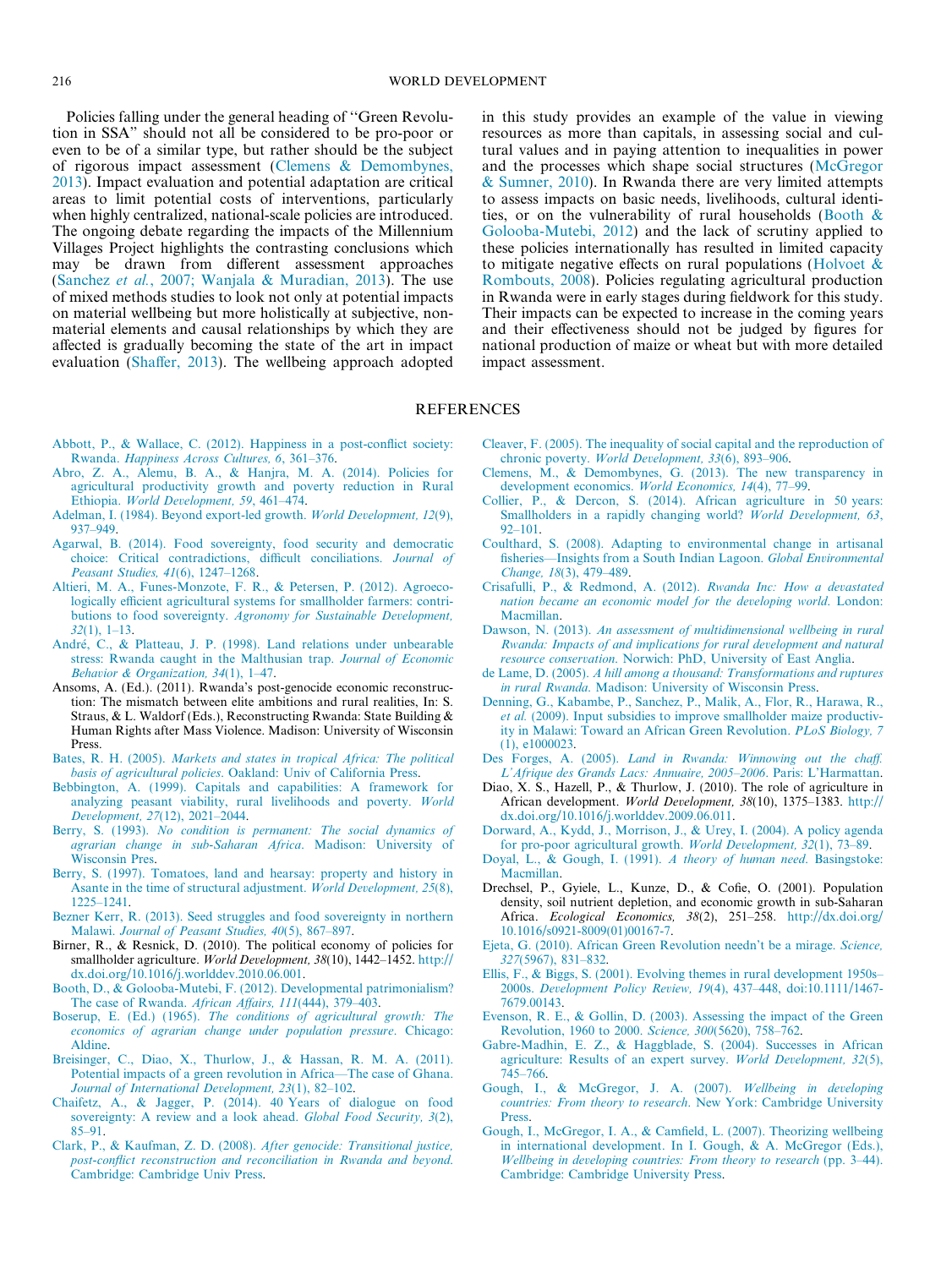<span id="page-12-0"></span>Policies falling under the general heading of ''Green Revolution in SSA" should not all be considered to be pro-poor or even to be of a similar type, but rather should be the subject of rigorous impact assessment (Clemens & Demombynes, 2013). Impact evaluation and potential adaptation are critical areas to limit potential costs of interventions, particularly when highly centralized, national-scale policies are introduced. The ongoing debate regarding the impacts of the Millennium Villages Project highlights the contrasting conclusions which may be drawn from different assessment approaches (Sanchez et al.[, 2007; Wanjala & Muradian, 2013](#page-13-0)). The use of mixed methods studies to look not only at potential impacts on material wellbeing but more holistically at subjective, nonmaterial elements and causal relationships by which they are affected is gradually becoming the state of the art in impact evaluation [\(Shaffer, 2013](#page-13-0)). The wellbeing approach adopted in this study provides an example of the value in viewing resources as more than capitals, in assessing social and cultural values and in paying attention to inequalities in power and the processes which shape social structures [\(McGregor](#page-13-0) [& Sumner, 2010](#page-13-0)). In Rwanda there are very limited attempts to assess impacts on basic needs, livelihoods, cultural identities, or on the vulnerability of rural households (Booth & Golooba-Mutebi, 2012) and the lack of scrutiny applied to these policies internationally has resulted in limited capacity to mitigate negative effects on rural populations ([Holvoet &](#page-13-0) [Rombouts, 2008\)](#page-13-0). Policies regulating agricultural production in Rwanda were in early stages during fieldwork for this study. Their impacts can be expected to increase in the coming years and their effectiveness should not be judged by figures for national production of maize or wheat but with more detailed impact assessment.

### **REFERENCES**

- [Abbott, P., & Wallace, C. \(2012\). Happiness in a post-conflict society:](http://refhub.elsevier.com/S0305-750X(15)00230-2/h0005) Rwanda. [Happiness Across Cultures, 6](http://refhub.elsevier.com/S0305-750X(15)00230-2/h0005)[, 361–376](http://refhub.elsevier.com/S0305-750X(15)00230-2/h0005).
- [Abro, Z. A., Alemu, B. A., & Hanjra, M. A. \(2014\). Policies for](http://refhub.elsevier.com/S0305-750X(15)00230-2/h0010) [agricultural productivity growth and poverty reduction in Rural](http://refhub.elsevier.com/S0305-750X(15)00230-2/h0010) Ethiopia. [World Development, 59](http://refhub.elsevier.com/S0305-750X(15)00230-2/h0010)[, 461–474](http://refhub.elsevier.com/S0305-750X(15)00230-2/h0010).
- [Adelman, I. \(1984\). Beyond export-led growth.](http://refhub.elsevier.com/S0305-750X(15)00230-2/h0015) World Development[,](http://refhub.elsevier.com/S0305-750X(15)00230-2/h0015) 12(9), [937–949](http://refhub.elsevier.com/S0305-750X(15)00230-2/h0015).
- [Agarwal, B. \(2014\). Food sovereignty, food security and democratic](http://refhub.elsevier.com/S0305-750X(15)00230-2/h0020) [choice: Critical contradictions, difficult conciliations.](http://refhub.elsevier.com/S0305-750X(15)00230-2/h0020) Journal of [Peasant Studies, 41](http://refhub.elsevier.com/S0305-750X(15)00230-2/h0020)(6)[, 1247–1268](http://refhub.elsevier.com/S0305-750X(15)00230-2/h0020).
- [Altieri, M. A., Funes-Monzote, F. R., & Petersen, P. \(2012\). Agroeco](http://refhub.elsevier.com/S0305-750X(15)00230-2/h0025)[logically efficient agricultural systems for smallholder farmers: contri](http://refhub.elsevier.com/S0305-750X(15)00230-2/h0025)butions to food sovereignty. [Agronomy for Sustainable Development,](http://refhub.elsevier.com/S0305-750X(15)00230-2/h0025) 32[\(1\), 1–13](http://refhub.elsevier.com/S0305-750X(15)00230-2/h0025).
- André, C., & Platteau, J. P. (1998). Land relations under unbearable [stress: Rwanda caught in the Malthusian trap.](http://refhub.elsevier.com/S0305-750X(15)00230-2/h0030) Journal of Economic [Behavior & Organization, 34](http://refhub.elsevier.com/S0305-750X(15)00230-2/h0030)(1[\), 1–47.](http://refhub.elsevier.com/S0305-750X(15)00230-2/h0030)
- Ansoms, A. (Ed.). (2011). Rwanda's post-genocide economic reconstruction: The mismatch between elite ambitions and rural realities, In: S. Straus, & L. Waldorf (Eds.), Reconstructing Rwanda: State Building & Human Rights after Mass Violence. Madison: University of Wisconsin Press.
- Bates, R. H. (2005). [Markets and states in tropical Africa: The political](http://refhub.elsevier.com/S0305-750X(15)00230-2/h0040) [basis of agricultural policies](http://refhub.elsevier.com/S0305-750X(15)00230-2/h0040)[. Oakland: Univ of California Press](http://refhub.elsevier.com/S0305-750X(15)00230-2/h0040).
- [Bebbington, A. \(1999\). Capitals and capabilities: A framework for](http://refhub.elsevier.com/S0305-750X(15)00230-2/h0045) [analyzing peasant viability, rural livelihoods and poverty.](http://refhub.elsevier.com/S0305-750X(15)00230-2/h0045) World [Development, 27](http://refhub.elsevier.com/S0305-750X(15)00230-2/h0045)(12[\), 2021–2044.](http://refhub.elsevier.com/S0305-750X(15)00230-2/h0045)
- Berry, S. (1993). [No condition is permanent: The social dynamics of](http://refhub.elsevier.com/S0305-750X(15)00230-2/h0050) [agrarian change in sub-Saharan Africa](http://refhub.elsevier.com/S0305-750X(15)00230-2/h0050)[. Madison: University of](http://refhub.elsevier.com/S0305-750X(15)00230-2/h0050) [Wisconsin Pres](http://refhub.elsevier.com/S0305-750X(15)00230-2/h0050).
- [Berry, S. \(1997\). Tomatoes, land and hearsay: property and history in](http://refhub.elsevier.com/S0305-750X(15)00230-2/h0055) [Asante in the time of structural adjustment.](http://refhub.elsevier.com/S0305-750X(15)00230-2/h0055) World Development, 25(8)[,](http://refhub.elsevier.com/S0305-750X(15)00230-2/h0055) [1225–1241](http://refhub.elsevier.com/S0305-750X(15)00230-2/h0055).
- [Bezner Kerr, R. \(2013\). Seed struggles and food sovereignty in northern](http://refhub.elsevier.com/S0305-750X(15)00230-2/h0060) Malawi. [Journal of Peasant Studies, 40](http://refhub.elsevier.com/S0305-750X(15)00230-2/h0060)(5[\), 867–897.](http://refhub.elsevier.com/S0305-750X(15)00230-2/h0060)
- Birner, R., & Resnick, D. (2010). The political economy of policies for smallholder agriculture. World Development, 38(10), 1442–1452. [http://](http://dx.doi.org/10.1016/j.worlddev.2010.06.001) [dx.doi.org/10.1016/j.worlddev.2010.06.001](http://dx.doi.org/10.1016/j.worlddev.2010.06.001).
- [Booth, D., & Golooba-Mutebi, F. \(2012\). Developmental patrimonialism?](http://refhub.elsevier.com/S0305-750X(15)00230-2/h0070) [The case of Rwanda.](http://refhub.elsevier.com/S0305-750X(15)00230-2/h0070) African Affairs, 111(444)[, 379–403](http://refhub.elsevier.com/S0305-750X(15)00230-2/h0070).
- Boserup, E. (Ed.) (1965). [The conditions of agricultural growth: The](http://refhub.elsevier.com/S0305-750X(15)00230-2/h0075) [economics of agrarian change under population pressure](http://refhub.elsevier.com/S0305-750X(15)00230-2/h0075)[. Chicago:](http://refhub.elsevier.com/S0305-750X(15)00230-2/h0075) [Aldine](http://refhub.elsevier.com/S0305-750X(15)00230-2/h0075).
- [Breisinger, C., Diao, X., Thurlow, J., & Hassan, R. M. A. \(2011\).](http://refhub.elsevier.com/S0305-750X(15)00230-2/h0080) [Potential impacts of a green revolution in Africa—The case of Ghana.](http://refhub.elsevier.com/S0305-750X(15)00230-2/h0080) [Journal of International Development, 23](http://refhub.elsevier.com/S0305-750X(15)00230-2/h0080)(1)[, 82–102.](http://refhub.elsevier.com/S0305-750X(15)00230-2/h0080)
- [Chaifetz, A., & Jagger, P. \(2014\). 40 Years of dialogue on food](http://refhub.elsevier.com/S0305-750X(15)00230-2/h0085) [sovereignty: A review and a look ahead.](http://refhub.elsevier.com/S0305-750X(15)00230-2/h0085) Global Food Security[,](http://refhub.elsevier.com/S0305-750X(15)00230-2/h0085) 3(2), [85–91](http://refhub.elsevier.com/S0305-750X(15)00230-2/h0085).
- [Clark, P., & Kaufman, Z. D. \(2008\).](http://refhub.elsevier.com/S0305-750X(15)00230-2/h0090) After genocide: Transitional justice, [post-conflict reconstruction and reconciliation in Rwanda and beyond](http://refhub.elsevier.com/S0305-750X(15)00230-2/h0090)[.](http://refhub.elsevier.com/S0305-750X(15)00230-2/h0090) [Cambridge: Cambridge Univ Press](http://refhub.elsevier.com/S0305-750X(15)00230-2/h0090).
- [Cleaver, F. \(2005\). The inequality of social capital and the reproduction of](http://refhub.elsevier.com/S0305-750X(15)00230-2/h0095) chronic poverty. World Development,  $33(6)$ , 893-906.
- [Clemens, M., & Demombynes, G. \(2013\). The new transparency in](http://refhub.elsevier.com/S0305-750X(15)00230-2/h0100) [development economics.](http://refhub.elsevier.com/S0305-750X(15)00230-2/h0100) World Economics, 14(4)[, 77–99](http://refhub.elsevier.com/S0305-750X(15)00230-2/h0100).
- [Collier, P., & Dercon, S. \(2014\). African agriculture in 50 years:](http://refhub.elsevier.com/S0305-750X(15)00230-2/h0105) [Smallholders in a rapidly changing world?](http://refhub.elsevier.com/S0305-750X(15)00230-2/h0105) World Development[,](http://refhub.elsevier.com/S0305-750X(15)00230-2/h0105) 63, [92–101](http://refhub.elsevier.com/S0305-750X(15)00230-2/h0105).
- [Coulthard, S. \(2008\). Adapting to environmental change in artisanal](http://refhub.elsevier.com/S0305-750X(15)00230-2/h0110) [fisheries—Insights from a South Indian Lagoon.](http://refhub.elsevier.com/S0305-750X(15)00230-2/h0110) Global Environmental [Change, 18](http://refhub.elsevier.com/S0305-750X(15)00230-2/h0110)(3[\), 479–489](http://refhub.elsevier.com/S0305-750X(15)00230-2/h0110).
- [Crisafulli, P., & Redmond, A. \(2012\).](http://refhub.elsevier.com/S0305-750X(15)00230-2/h0115) Rwanda Inc: How a devastated [nation became an economic model for the developing world](http://refhub.elsevier.com/S0305-750X(15)00230-2/h0115)[. London:](http://refhub.elsevier.com/S0305-750X(15)00230-2/h0115) [Macmillan.](http://refhub.elsevier.com/S0305-750X(15)00230-2/h0115)
- Dawson, N. (2013). [An assessment of multidimensional wellbeing in rural](http://refhub.elsevier.com/S0305-750X(15)00230-2/h0120) [Rwanda: Impacts of and implications for rural development and natural](http://refhub.elsevier.com/S0305-750X(15)00230-2/h0120) [resource conservation](http://refhub.elsevier.com/S0305-750X(15)00230-2/h0120)[. Norwich: PhD, University of East Anglia.](http://refhub.elsevier.com/S0305-750X(15)00230-2/h0120)
- de Lame, D. (2005). [A hill among a thousand: Transformations and ruptures](http://refhub.elsevier.com/S0305-750X(15)00230-2/h0125) [in rural Rwanda](http://refhub.elsevier.com/S0305-750X(15)00230-2/h0125)[. Madison: University of Wisconsin Press.](http://refhub.elsevier.com/S0305-750X(15)00230-2/h0125)
- [Denning, G., Kabambe, P., Sanchez, P., Malik, A., Flor, R., Harawa, R.,](http://refhub.elsevier.com/S0305-750X(15)00230-2/h0130) et al. [\(2009\). Input subsidies to improve smallholder maize productiv](http://refhub.elsevier.com/S0305-750X(15)00230-2/h0130)[ity in Malawi: Toward an African Green Revolution.](http://refhub.elsevier.com/S0305-750X(15)00230-2/h0130) PLoS Biology, 7 [\(1\), e1000023.](http://refhub.elsevier.com/S0305-750X(15)00230-2/h0130)
- Des Forges, A. (2005). [Land in Rwanda: Winnowing out the chaff.](http://refhub.elsevier.com/S0305-750X(15)00230-2/h0135) [L'Afrique des Grands Lacs: Annuaire, 2005–2006](http://refhub.elsevier.com/S0305-750X(15)00230-2/h0135)[. Paris: L'Harmattan.](http://refhub.elsevier.com/S0305-750X(15)00230-2/h0135)
- Diao, X. S., Hazell, P., & Thurlow, J. (2010). The role of agriculture in African development. World Development, 38(10), 1375–1383. [http://](http://dx.doi.org/10.1016/j.worlddev.2009.06.011) [dx.doi.org/10.1016/j.worlddev.2009.06.011](http://dx.doi.org/10.1016/j.worlddev.2009.06.011).
- [Dorward, A., Kydd, J., Morrison, J., & Urey, I. \(2004\). A policy agenda](http://refhub.elsevier.com/S0305-750X(15)00230-2/h0145) [for pro-poor agricultural growth.](http://refhub.elsevier.com/S0305-750X(15)00230-2/h0145) World Development, 32(1[\), 73–89.](http://refhub.elsevier.com/S0305-750X(15)00230-2/h0145)
- [Doyal, L., & Gough, I. \(1991\).](http://refhub.elsevier.com/S0305-750X(15)00230-2/h0150) A theory of human need[. Basingstoke:](http://refhub.elsevier.com/S0305-750X(15)00230-2/h0150) [Macmillan.](http://refhub.elsevier.com/S0305-750X(15)00230-2/h0150)
- Drechsel, P., Gyiele, L., Kunze, D., & Cofie, O. (2001). Population density, soil nutrient depletion, and economic growth in sub-Saharan Africa. Ecological Economics, 38(2), 251–258. [http://dx.doi.org/](http://dx.doi.org/10.1016/s0921-8009(01)00167-7) [10.1016/s0921-8009\(01\)00167-7](http://dx.doi.org/10.1016/s0921-8009(01)00167-7).
- [Ejeta, G. \(2010\). African Green Revolution needn't be a mirage.](http://refhub.elsevier.com/S0305-750X(15)00230-2/h0160) Science, 327[\(5967\), 831–832](http://refhub.elsevier.com/S0305-750X(15)00230-2/h0160).
- [Ellis, F., & Biggs, S. \(2001\). Evolving themes in rural development 1950s–](http://refhub.elsevier.com/S0305-750X(15)00230-2/h0165) 2000s. [Development Policy Review, 19](http://refhub.elsevier.com/S0305-750X(15)00230-2/h0165)(4)[, 437–448, doi:10.1111/1467-](http://refhub.elsevier.com/S0305-750X(15)00230-2/h0165) [7679.00143](http://refhub.elsevier.com/S0305-750X(15)00230-2/h0165).
- [Evenson, R. E., & Gollin, D. \(2003\). Assessing the impact of the Green](http://refhub.elsevier.com/S0305-750X(15)00230-2/h0170) [Revolution, 1960 to 2000.](http://refhub.elsevier.com/S0305-750X(15)00230-2/h0170) Science, 300(5620)[, 758–762.](http://refhub.elsevier.com/S0305-750X(15)00230-2/h0170)
- [Gabre-Madhin, E. Z., & Haggblade, S. \(2004\). Successes in African](http://refhub.elsevier.com/S0305-750X(15)00230-2/h0175) [agriculture: Results of an expert survey.](http://refhub.elsevier.com/S0305-750X(15)00230-2/h0175) World Development, 32(5)[,](http://refhub.elsevier.com/S0305-750X(15)00230-2/h0175) [745–766](http://refhub.elsevier.com/S0305-750X(15)00230-2/h0175).
- [Gough, I., & McGregor, J. A. \(2007\).](http://refhub.elsevier.com/S0305-750X(15)00230-2/h0180) Wellbeing in developing [countries: From theory to research](http://refhub.elsevier.com/S0305-750X(15)00230-2/h0180)[. New York: Cambridge University](http://refhub.elsevier.com/S0305-750X(15)00230-2/h0180) [Press.](http://refhub.elsevier.com/S0305-750X(15)00230-2/h0180)
- [Gough, I., McGregor, I. A., & Camfield, L. \(2007\). Theorizing wellbeing](http://refhub.elsevier.com/S0305-750X(15)00230-2/h0185) [in international development. In I. Gough, & A. McGregor \(Eds.\),](http://refhub.elsevier.com/S0305-750X(15)00230-2/h0185) [Wellbeing in developing countries: From theory to research](http://refhub.elsevier.com/S0305-750X(15)00230-2/h0185) [\(pp. 3–44\).](http://refhub.elsevier.com/S0305-750X(15)00230-2/h0185) [Cambridge: Cambridge University Press.](http://refhub.elsevier.com/S0305-750X(15)00230-2/h0185)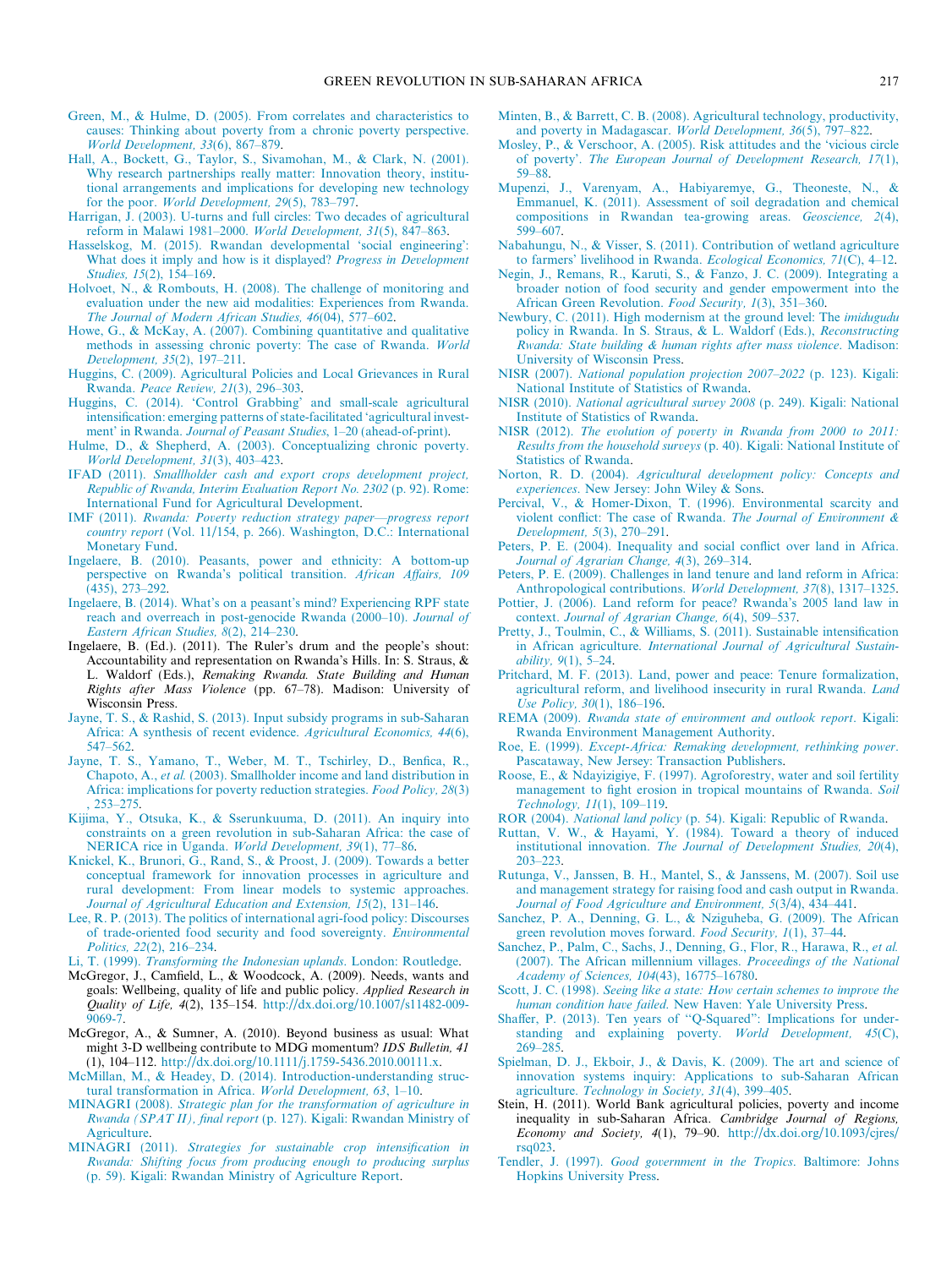- <span id="page-13-0"></span>[Green, M., & Hulme, D. \(2005\). From correlates and characteristics to](http://refhub.elsevier.com/S0305-750X(15)00230-2/h0190) [causes: Thinking about poverty from a chronic poverty perspective.](http://refhub.elsevier.com/S0305-750X(15)00230-2/h0190) [World Development, 33](http://refhub.elsevier.com/S0305-750X(15)00230-2/h0190)(6)[, 867–879](http://refhub.elsevier.com/S0305-750X(15)00230-2/h0190).
- [Hall, A., Bockett, G., Taylor, S., Sivamohan, M., & Clark, N. \(2001\).](http://refhub.elsevier.com/S0305-750X(15)00230-2/h0195) [Why research partnerships really matter: Innovation theory, institu](http://refhub.elsevier.com/S0305-750X(15)00230-2/h0195)[tional arrangements and implications for developing new technology](http://refhub.elsevier.com/S0305-750X(15)00230-2/h0195) for the poor. [World Development, 29](http://refhub.elsevier.com/S0305-750X(15)00230-2/h0195)(5)[, 783–797](http://refhub.elsevier.com/S0305-750X(15)00230-2/h0195).
- Harrigan,  $\hat{J}$ . (2003). U-turns and full circles: Two decades of agricultural [reform in Malawi 1981–2000.](http://refhub.elsevier.com/S0305-750X(15)00230-2/h0200) World Development, 31(5)[, 847–863](http://refhub.elsevier.com/S0305-750X(15)00230-2/h0200).
- [Hasselskog, M. \(2015\). Rwandan developmental 'social engineering':](http://refhub.elsevier.com/S0305-750X(15)00230-2/h0205) [What does it imply and how is it displayed?](http://refhub.elsevier.com/S0305-750X(15)00230-2/h0205) Progress in Development [Studies, 15](http://refhub.elsevier.com/S0305-750X(15)00230-2/h0205)(2[\), 154–169.](http://refhub.elsevier.com/S0305-750X(15)00230-2/h0205)
- [Holvoet, N., & Rombouts, H. \(2008\). The challenge of monitoring and](http://refhub.elsevier.com/S0305-750X(15)00230-2/h0210) [evaluation under the new aid modalities: Experiences from Rwanda.](http://refhub.elsevier.com/S0305-750X(15)00230-2/h0210) [The Journal of Modern African Studies, 46](http://refhub.elsevier.com/S0305-750X(15)00230-2/h0210)(04), 577-602.
- [Howe, G., & McKay, A. \(2007\). Combining quantitative and qualitative](http://refhub.elsevier.com/S0305-750X(15)00230-2/h0215) [methods in assessing chronic poverty: The case of Rwanda.](http://refhub.elsevier.com/S0305-750X(15)00230-2/h0215) World [Development, 35](http://refhub.elsevier.com/S0305-750X(15)00230-2/h0215)(2[\), 197–211.](http://refhub.elsevier.com/S0305-750X(15)00230-2/h0215)
- [Huggins, C. \(2009\). Agricultural Policies and Local Grievances in Rural](http://refhub.elsevier.com/S0305-750X(15)00230-2/h0220) Rwanda. [Peace Review, 21](http://refhub.elsevier.com/S0305-750X(15)00230-2/h0220)(3)[, 296–303](http://refhub.elsevier.com/S0305-750X(15)00230-2/h0220).
- [Huggins, C. \(2014\). 'Control Grabbing' and small-scale agricultural](http://refhub.elsevier.com/S0305-750X(15)00230-2/h0225) [intensification: emerging patterns of state-facilitated 'agricultural invest](http://refhub.elsevier.com/S0305-750X(15)00230-2/h0225)ment' in Rwanda. [Journal of Peasant Studies](http://refhub.elsevier.com/S0305-750X(15)00230-2/h0225)[, 1–20 \(ahead-of-print\)](http://refhub.elsevier.com/S0305-750X(15)00230-2/h0225).
- [Hulme, D., & Shepherd, A. \(2003\). Conceptualizing chronic poverty.](http://refhub.elsevier.com/S0305-750X(15)00230-2/h0230) [World Development, 31](http://refhub.elsevier.com/S0305-750X(15)00230-2/h0230)(3)[, 403–423](http://refhub.elsevier.com/S0305-750X(15)00230-2/h0230).
- IFAD (2011). [Smallholder cash and export crops development project,](http://refhub.elsevier.com/S0305-750X(15)00230-2/h0235) [Republic of Rwanda, Interim Evaluation Report No. 2302](http://refhub.elsevier.com/S0305-750X(15)00230-2/h0235) (p. 92)[. Rome:](http://refhub.elsevier.com/S0305-750X(15)00230-2/h0235) [International Fund for Agricultural Development](http://refhub.elsevier.com/S0305-750X(15)00230-2/h0235).
- IMF (2011). [Rwanda: Poverty reduction strategy paper—progress report](http://refhub.elsevier.com/S0305-750X(15)00230-2/h0240) country report [\(Vol. 11/154, p. 266\). Washington, D.C.: International](http://refhub.elsevier.com/S0305-750X(15)00230-2/h0240) [Monetary Fund](http://refhub.elsevier.com/S0305-750X(15)00230-2/h0240).
- [Ingelaere, B. \(2010\). Peasants, power and ethnicity: A bottom-up](http://refhub.elsevier.com/S0305-750X(15)00230-2/h0245) [perspective on Rwanda's political transition.](http://refhub.elsevier.com/S0305-750X(15)00230-2/h0245) African Affairs, 109 [\(435\), 273–292.](http://refhub.elsevier.com/S0305-750X(15)00230-2/h0245)
- [Ingelaere, B. \(2014\). What's on a peasant's mind? Experiencing RPF state](http://refhub.elsevier.com/S0305-750X(15)00230-2/h0250) [reach and overreach in post-genocide Rwanda \(2000–10\).](http://refhub.elsevier.com/S0305-750X(15)00230-2/h0250) Journal of [Eastern African Studies, 8](http://refhub.elsevier.com/S0305-750X(15)00230-2/h0250)(2[\), 214–230.](http://refhub.elsevier.com/S0305-750X(15)00230-2/h0250)
- Ingelaere, B. (Ed.). (2011). The Ruler's drum and the people's shout: Accountability and representation on Rwanda's Hills. In: S. Straus, & L. Waldorf (Eds.), Remaking Rwanda. State Building and Human Rights after Mass Violence (pp. 67–78). Madison: University of Wisconsin Press.
- [Jayne, T. S., & Rashid, S. \(2013\). Input subsidy programs in sub-Saharan](http://refhub.elsevier.com/S0305-750X(15)00230-2/h0265) [Africa: A synthesis of recent evidence.](http://refhub.elsevier.com/S0305-750X(15)00230-2/h0265) Agricultural Economics, 44(6[\),](http://refhub.elsevier.com/S0305-750X(15)00230-2/h0265) [547–562.](http://refhub.elsevier.com/S0305-750X(15)00230-2/h0265)
- [Jayne, T. S., Yamano, T., Weber, M. T., Tschirley, D., Benfica, R.,](http://refhub.elsevier.com/S0305-750X(15)00230-2/h0270) Chapoto, A., et al. [\(2003\). Smallholder income and land distribution in](http://refhub.elsevier.com/S0305-750X(15)00230-2/h0270) [Africa: implications for poverty reduction strategies.](http://refhub.elsevier.com/S0305-750X(15)00230-2/h0270) Food Policy, 28(3) [, 253–275.](http://refhub.elsevier.com/S0305-750X(15)00230-2/h0270)
- [Kijima, Y., Otsuka, K., & Sserunkuuma, D. \(2011\). An inquiry into](http://refhub.elsevier.com/S0305-750X(15)00230-2/h0275) [constraints on a green revolution in sub-Saharan Africa: the case of](http://refhub.elsevier.com/S0305-750X(15)00230-2/h0275) [NERICA rice in Uganda.](http://refhub.elsevier.com/S0305-750X(15)00230-2/h0275) World Development, 39(1[\), 77–86.](http://refhub.elsevier.com/S0305-750X(15)00230-2/h0275)
- [Knickel, K., Brunori, G., Rand, S., & Proost, J. \(2009\). Towards a better](http://refhub.elsevier.com/S0305-750X(15)00230-2/h0280) [conceptual framework for innovation processes in agriculture and](http://refhub.elsevier.com/S0305-750X(15)00230-2/h0280) [rural development: From linear models to systemic approaches.](http://refhub.elsevier.com/S0305-750X(15)00230-2/h0280) [Journal of Agricultural Education and Extension, 15](http://refhub.elsevier.com/S0305-750X(15)00230-2/h0280)(2)[, 131–146](http://refhub.elsevier.com/S0305-750X(15)00230-2/h0280).
- [Lee, R. P. \(2013\). The politics of international agri-food policy: Discourses](http://refhub.elsevier.com/S0305-750X(15)00230-2/h0285) [of trade-oriented food security and food sovereignty.](http://refhub.elsevier.com/S0305-750X(15)00230-2/h0285) Environmental [Politics, 22](http://refhub.elsevier.com/S0305-750X(15)00230-2/h0285)(2[\), 216–234.](http://refhub.elsevier.com/S0305-750X(15)00230-2/h0285)

Li, T. (1999). [Transforming the Indonesian uplands](http://refhub.elsevier.com/S0305-750X(15)00230-2/h0290)[. London: Routledge.](http://refhub.elsevier.com/S0305-750X(15)00230-2/h0290)

- McGregor, J., Camfield, L., & Woodcock, A. (2009). Needs, wants and goals: Wellbeing, quality of life and public policy. Applied Research in Quality of Life, 4(2), 135–154. [http://dx.doi.org/10.1007/s11482-009-](http://dx.doi.org/10.1007/s11482-009-9069-7) [9069-7.](http://dx.doi.org/10.1007/s11482-009-9069-7)
- McGregor, A., & Sumner, A. (2010). Beyond business as usual: What might 3-D wellbeing contribute to MDG momentum? IDS Bulletin, 41 (1), 104–112. [http://dx.doi.org/10.1111/j.1759-5436.2010.00111.x.](http://dx.doi.org/10.1111/j.1759-5436.2010.00111.x)
- [McMillan, M., & Headey, D. \(2014\). Introduction-understanding struc](http://refhub.elsevier.com/S0305-750X(15)00230-2/h0305)[tural transformation in Africa.](http://refhub.elsevier.com/S0305-750X(15)00230-2/h0305) World Development, 63[, 1–10](http://refhub.elsevier.com/S0305-750X(15)00230-2/h0305).
- MINAGRI (2008). [Strategic plan for the transformation of agriculture in](http://refhub.elsevier.com/S0305-750X(15)00230-2/h0310) [Rwanda \(SPAT II\), final report](http://refhub.elsevier.com/S0305-750X(15)00230-2/h0310) (p. 127[\). Kigali: Rwandan Ministry of](http://refhub.elsevier.com/S0305-750X(15)00230-2/h0310) [Agriculture](http://refhub.elsevier.com/S0305-750X(15)00230-2/h0310).
- MINAGRI (2011). [Strategies for sustainable crop intensification in](http://refhub.elsevier.com/S0305-750X(15)00230-2/h0315) [Rwanda: Shifting focus from producing enough to producing surplus](http://refhub.elsevier.com/S0305-750X(15)00230-2/h0315) [\(p. 59\). Kigali: Rwandan Ministry of Agriculture Report](http://refhub.elsevier.com/S0305-750X(15)00230-2/h0315).
- [Minten, B., & Barrett, C. B. \(2008\). Agricultural technology, productivity,](http://refhub.elsevier.com/S0305-750X(15)00230-2/h0320) [and poverty in Madagascar.](http://refhub.elsevier.com/S0305-750X(15)00230-2/h0320) World Development, 36(5[\), 797–822](http://refhub.elsevier.com/S0305-750X(15)00230-2/h0320).
- [Mosley, P., & Verschoor, A. \(2005\). Risk attitudes and the 'vicious circle](http://refhub.elsevier.com/S0305-750X(15)00230-2/h0325) of poverty'. [The European Journal of Development Research, 17](http://refhub.elsevier.com/S0305-750X(15)00230-2/h0325)(1[\),](http://refhub.elsevier.com/S0305-750X(15)00230-2/h0325) [59–88.](http://refhub.elsevier.com/S0305-750X(15)00230-2/h0325)
- [Mupenzi, J., Varenyam, A., Habiyaremye, G., Theoneste, N., &](http://refhub.elsevier.com/S0305-750X(15)00230-2/h0330) [Emmanuel, K. \(2011\). Assessment of soil degradation and chemical](http://refhub.elsevier.com/S0305-750X(15)00230-2/h0330) [compositions in Rwandan tea-growing areas.](http://refhub.elsevier.com/S0305-750X(15)00230-2/h0330) Geoscience, 2(4[\),](http://refhub.elsevier.com/S0305-750X(15)00230-2/h0330) [599–607.](http://refhub.elsevier.com/S0305-750X(15)00230-2/h0330)
- [Nabahungu, N., & Visser, S. \(2011\). Contribution of wetland agriculture](http://refhub.elsevier.com/S0305-750X(15)00230-2/h0335) [to farmers' livelihood in Rwanda.](http://refhub.elsevier.com/S0305-750X(15)00230-2/h0335) Ecological Economics, 71(C)[, 4–12.](http://refhub.elsevier.com/S0305-750X(15)00230-2/h0335)
- [Negin, J., Remans, R., Karuti, S., & Fanzo, J. C. \(2009\). Integrating a](http://refhub.elsevier.com/S0305-750X(15)00230-2/h0340) [broader notion of food security and gender empowerment into the](http://refhub.elsevier.com/S0305-750X(15)00230-2/h0340) [African Green Revolution.](http://refhub.elsevier.com/S0305-750X(15)00230-2/h0340) Food Security, 1(3[\), 351–360.](http://refhub.elsevier.com/S0305-750X(15)00230-2/h0340)
- [Newbury, C. \(2011\). High modernism at the ground level: The](http://refhub.elsevier.com/S0305-750X(15)00230-2/h0345) imidugudu [policy in Rwanda. In S. Straus, & L. Waldorf \(Eds.\),](http://refhub.elsevier.com/S0305-750X(15)00230-2/h0345) Reconstructing [Rwanda: State building & human rights after mass violence](http://refhub.elsevier.com/S0305-750X(15)00230-2/h0345)[. Madison:](http://refhub.elsevier.com/S0305-750X(15)00230-2/h0345) [University of Wisconsin Press.](http://refhub.elsevier.com/S0305-750X(15)00230-2/h0345)
- NISR (2007). [National population projection 2007–2022](http://refhub.elsevier.com/S0305-750X(15)00230-2/h0350) (p. 123[\). Kigali:](http://refhub.elsevier.com/S0305-750X(15)00230-2/h0350) [National Institute of Statistics of Rwanda.](http://refhub.elsevier.com/S0305-750X(15)00230-2/h0350)
- NISR (2010). [National agricultural survey 2008](http://refhub.elsevier.com/S0305-750X(15)00230-2/h0355) (p. 249)[. Kigali: National](http://refhub.elsevier.com/S0305-750X(15)00230-2/h0355) [Institute of Statistics of Rwanda](http://refhub.elsevier.com/S0305-750X(15)00230-2/h0355).
- NISR (2012). [The evolution of poverty in Rwanda from 2000 to 2011:](http://refhub.elsevier.com/S0305-750X(15)00230-2/h0360) [Results from the household surveys](http://refhub.elsevier.com/S0305-750X(15)00230-2/h0360) (p. 40)[. Kigali: National Institute of](http://refhub.elsevier.com/S0305-750X(15)00230-2/h0360) [Statistics of Rwanda](http://refhub.elsevier.com/S0305-750X(15)00230-2/h0360).
- Norton, R. D. (2004). [Agricultural development policy: Concepts and](http://refhub.elsevier.com/S0305-750X(15)00230-2/h0365) [experiences](http://refhub.elsevier.com/S0305-750X(15)00230-2/h0365)[. New Jersey: John Wiley & Sons](http://refhub.elsevier.com/S0305-750X(15)00230-2/h0365).
- [Percival, V., & Homer-Dixon, T. \(1996\). Environmental scarcity and](http://refhub.elsevier.com/S0305-750X(15)00230-2/h0370) [violent conflict: The case of Rwanda.](http://refhub.elsevier.com/S0305-750X(15)00230-2/h0370) The Journal of Environment & [Development, 5](http://refhub.elsevier.com/S0305-750X(15)00230-2/h0370)(3[\), 270–291.](http://refhub.elsevier.com/S0305-750X(15)00230-2/h0370)
- [Peters, P. E. \(2004\). Inequality and social conflict over land in Africa.](http://refhub.elsevier.com/S0305-750X(15)00230-2/h0375) [Journal of Agrarian Change, 4](http://refhub.elsevier.com/S0305-750X(15)00230-2/h0375)(3), 269-314.
- [Peters, P. E. \(2009\). Challenges in land tenure and land reform in Africa:](http://refhub.elsevier.com/S0305-750X(15)00230-2/h0380) [Anthropological contributions.](http://refhub.elsevier.com/S0305-750X(15)00230-2/h0380) World Development, 37(8[\), 1317–1325](http://refhub.elsevier.com/S0305-750X(15)00230-2/h0380).
- [Pottier, J. \(2006\). Land reform for peace? Rwanda's 2005 land law in](http://refhub.elsevier.com/S0305-750X(15)00230-2/h0385) context. [Journal of Agrarian Change, 6](http://refhub.elsevier.com/S0305-750X(15)00230-2/h0385)(4)[, 509–537](http://refhub.elsevier.com/S0305-750X(15)00230-2/h0385).
- [Pretty, J., Toulmin, C., & Williams, S. \(2011\). Sustainable intensification](http://refhub.elsevier.com/S0305-750X(15)00230-2/h0390) in African agriculture. [International Journal of Agricultural Sustain](http://refhub.elsevier.com/S0305-750X(15)00230-2/h0390)[ability, 9](http://refhub.elsevier.com/S0305-750X(15)00230-2/h0390)(1[\), 5–24.](http://refhub.elsevier.com/S0305-750X(15)00230-2/h0390)
- [Pritchard, M. F. \(2013\). Land, power and peace: Tenure formalization,](http://refhub.elsevier.com/S0305-750X(15)00230-2/h0395) [agricultural reform, and livelihood insecurity in rural Rwanda.](http://refhub.elsevier.com/S0305-750X(15)00230-2/h0395) Land [Use Policy, 30](http://refhub.elsevier.com/S0305-750X(15)00230-2/h0395)(1[\), 186–196](http://refhub.elsevier.com/S0305-750X(15)00230-2/h0395).
- REMA (2009). [Rwanda state of environment and outlook report](http://refhub.elsevier.com/S0305-750X(15)00230-2/h0400)[. Kigali:](http://refhub.elsevier.com/S0305-750X(15)00230-2/h0400) [Rwanda Environment Management Authority.](http://refhub.elsevier.com/S0305-750X(15)00230-2/h0400)
- Roe, E. (1999). [Except-Africa: Remaking development, rethinking power](http://refhub.elsevier.com/S0305-750X(15)00230-2/h0405)[.](http://refhub.elsevier.com/S0305-750X(15)00230-2/h0405) [Pascataway, New Jersey: Transaction Publishers.](http://refhub.elsevier.com/S0305-750X(15)00230-2/h0405)
- [Roose, E., & Ndayizigiye, F. \(1997\). Agroforestry, water and soil fertility](http://refhub.elsevier.com/S0305-750X(15)00230-2/h0410) [management to fight erosion in tropical mountains of Rwanda.](http://refhub.elsevier.com/S0305-750X(15)00230-2/h0410) Soil [Technology, 11](http://refhub.elsevier.com/S0305-750X(15)00230-2/h0410)(1[\), 109–119](http://refhub.elsevier.com/S0305-750X(15)00230-2/h0410).
- ROR (2004). [National land policy](http://refhub.elsevier.com/S0305-750X(15)00230-2/h0415) (p. 54)[. Kigali: Republic of Rwanda.](http://refhub.elsevier.com/S0305-750X(15)00230-2/h0415)
- [Ruttan, V. W., & Hayami, Y. \(1984\). Toward a theory of induced](http://refhub.elsevier.com/S0305-750X(15)00230-2/h0420) institutional innovation. [The Journal of Development Studies, 20](http://refhub.elsevier.com/S0305-750X(15)00230-2/h0420)(4[\),](http://refhub.elsevier.com/S0305-750X(15)00230-2/h0420) [203–223.](http://refhub.elsevier.com/S0305-750X(15)00230-2/h0420)
- [Rutunga, V., Janssen, B. H., Mantel, S., & Janssens, M. \(2007\). Soil use](http://refhub.elsevier.com/S0305-750X(15)00230-2/h0425) [and management strategy for raising food and cash output in Rwanda.](http://refhub.elsevier.com/S0305-750X(15)00230-2/h0425) [Journal of Food Agriculture and Environment, 5](http://refhub.elsevier.com/S0305-750X(15)00230-2/h0425)(3/4)[, 434–441](http://refhub.elsevier.com/S0305-750X(15)00230-2/h0425).
- [Sanchez, P. A., Denning, G. L., & Nziguheba, G. \(2009\). The African](http://refhub.elsevier.com/S0305-750X(15)00230-2/h0430) [green revolution moves forward.](http://refhub.elsevier.com/S0305-750X(15)00230-2/h0430) Food Security, 1(1[\), 37–44.](http://refhub.elsevier.com/S0305-750X(15)00230-2/h0430)
- [Sanchez, P., Palm, C., Sachs, J., Denning, G., Flor, R., Harawa, R.,](http://refhub.elsevier.com/S0305-750X(15)00230-2/h0435) et al. [\(2007\). The African millennium villages.](http://refhub.elsevier.com/S0305-750X(15)00230-2/h0435) Proceedings of the National [Academy of Sciences, 104](http://refhub.elsevier.com/S0305-750X(15)00230-2/h0435)(43)[, 16775–16780](http://refhub.elsevier.com/S0305-750X(15)00230-2/h0435).
- Scott, J. C. (1998). [Seeing like a state: How certain schemes to improve the](http://refhub.elsevier.com/S0305-750X(15)00230-2/h0440) [human condition have failed](http://refhub.elsevier.com/S0305-750X(15)00230-2/h0440)[. New Haven: Yale University Press](http://refhub.elsevier.com/S0305-750X(15)00230-2/h0440).
- [Shaffer, P. \(2013\). Ten years of ''Q-Squared](http://refhub.elsevier.com/S0305-750X(15)00230-2/h0445)"[: Implications for under](http://refhub.elsevier.com/S0305-750X(15)00230-2/h0445)[standing and explaining poverty.](http://refhub.elsevier.com/S0305-750X(15)00230-2/h0445) World Development, 45(C[\),](http://refhub.elsevier.com/S0305-750X(15)00230-2/h0445) [269–285.](http://refhub.elsevier.com/S0305-750X(15)00230-2/h0445)
- [Spielman, D. J., Ekboir, J., & Davis, K. \(2009\). The art and science of](http://refhub.elsevier.com/S0305-750X(15)00230-2/h0450) [innovation systems inquiry: Applications to sub-Saharan African](http://refhub.elsevier.com/S0305-750X(15)00230-2/h0450) agriculture. [Technology in Society, 31](http://refhub.elsevier.com/S0305-750X(15)00230-2/h0450)(4)[, 399–405.](http://refhub.elsevier.com/S0305-750X(15)00230-2/h0450)
- Stein, H. (2011). World Bank agricultural policies, poverty and income inequality in sub-Saharan Africa. Cambridge Journal of Regions, Economy and Society, 4(1), 79–90. [http://dx.doi.org/10.1093/cjres/](http://dx.doi.org/10.1093/cjres/rsq023) [rsq023.](http://dx.doi.org/10.1093/cjres/rsq023)
- Tendler, J. (1997). [Good government in the Tropics](http://refhub.elsevier.com/S0305-750X(15)00230-2/h0460)[. Baltimore: Johns](http://refhub.elsevier.com/S0305-750X(15)00230-2/h0460) [Hopkins University Press.](http://refhub.elsevier.com/S0305-750X(15)00230-2/h0460)